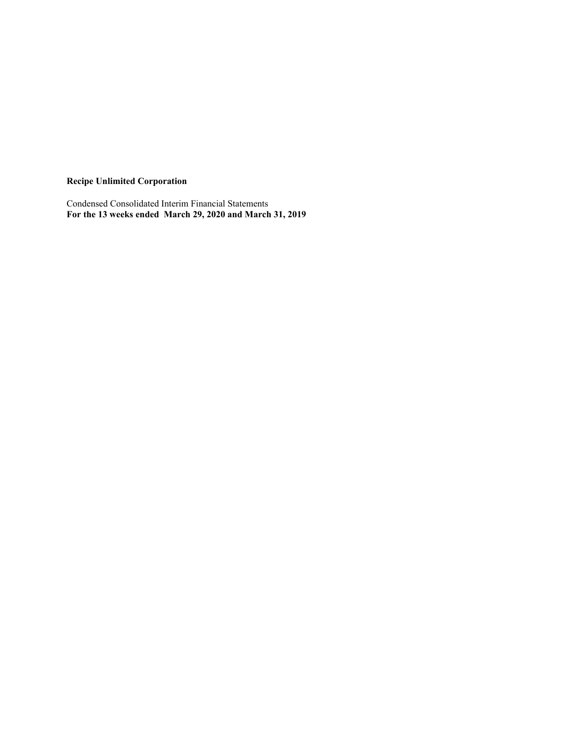**Recipe Unlimited Corporation**

Condensed Consolidated Interim Financial Statements **For the 13 weeks ended March 29, 2020 and March 31, 2019**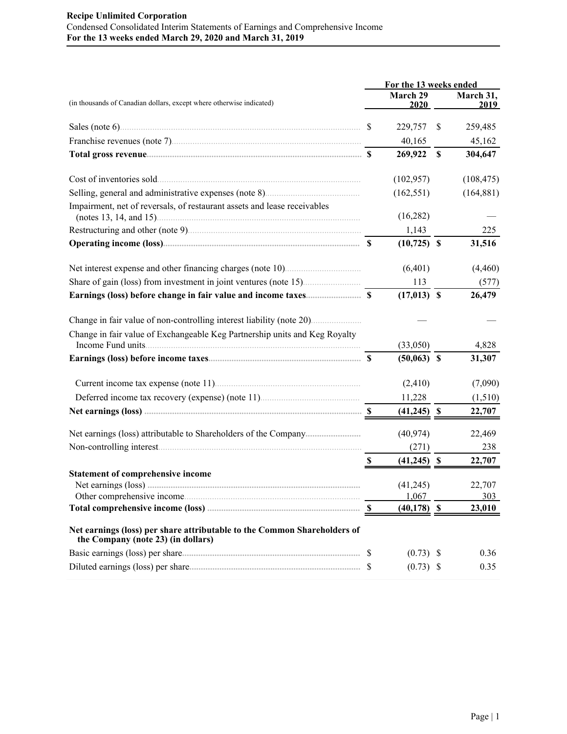# **Recipe Unlimited Corporation** Condensed Consolidated Interim Statements of Earnings and Comprehensive Income **For the 13 weeks ended March 29, 2020 and March 31, 2019**

|                                                                                                                | For the 13 weeks ended    |                         |                           |                          |  |  |  |
|----------------------------------------------------------------------------------------------------------------|---------------------------|-------------------------|---------------------------|--------------------------|--|--|--|
| (in thousands of Canadian dollars, except where otherwise indicated)                                           |                           | <b>March 29</b><br>2020 |                           | March 31,<br><u>2019</u> |  |  |  |
|                                                                                                                |                           | 229,757                 | \$                        | 259,485                  |  |  |  |
|                                                                                                                |                           | 40,165                  |                           | 45,162                   |  |  |  |
|                                                                                                                |                           | 269,922                 | $\boldsymbol{\mathsf{S}}$ | 304,647                  |  |  |  |
| Cost of inventories sold.                                                                                      |                           | (102, 957)              |                           | (108, 475)               |  |  |  |
|                                                                                                                |                           | (162, 551)              |                           | (164, 881)               |  |  |  |
| Impairment, net of reversals, of restaurant assets and lease receivables                                       |                           | (16,282)                |                           |                          |  |  |  |
|                                                                                                                |                           | 1,143                   |                           | 225                      |  |  |  |
|                                                                                                                |                           | $(10,725)$ \$           |                           | 31,516                   |  |  |  |
|                                                                                                                |                           | (6,401)                 |                           | (4, 460)                 |  |  |  |
|                                                                                                                |                           | 113                     |                           | (577)                    |  |  |  |
|                                                                                                                |                           | $(17,013)$ \$           |                           | 26,479                   |  |  |  |
|                                                                                                                |                           |                         |                           |                          |  |  |  |
| Change in fair value of Exchangeable Keg Partnership units and Keg Royalty                                     |                           | (33,050)                |                           | 4,828                    |  |  |  |
|                                                                                                                |                           | $(50,063)$ \$           |                           | 31,307                   |  |  |  |
|                                                                                                                |                           | (2, 410)                |                           | (7,090)                  |  |  |  |
|                                                                                                                |                           | 11,228                  |                           | (1,510)                  |  |  |  |
|                                                                                                                |                           | $(41,245)$ \$           |                           | 22,707                   |  |  |  |
|                                                                                                                |                           | (40, 974)               |                           | 22,469                   |  |  |  |
|                                                                                                                |                           | (271)                   |                           | 238                      |  |  |  |
|                                                                                                                | $\boldsymbol{\mathsf{S}}$ | $\frac{(41,245)}{5}$    |                           | 22,707                   |  |  |  |
| <b>Statement of comprehensive income</b>                                                                       |                           |                         |                           |                          |  |  |  |
|                                                                                                                |                           | (41,245)                |                           | 22,707                   |  |  |  |
|                                                                                                                |                           | 1,067                   |                           | 303                      |  |  |  |
|                                                                                                                |                           | $(40, 178)$ \$          |                           | 23,010                   |  |  |  |
| Net earnings (loss) per share attributable to the Common Shareholders of<br>the Company (note 23) (in dollars) |                           |                         |                           |                          |  |  |  |
|                                                                                                                |                           | $(0.73)$ \$             |                           | 0.36                     |  |  |  |
|                                                                                                                |                           | $(0.73)$ \$             |                           | 0.35                     |  |  |  |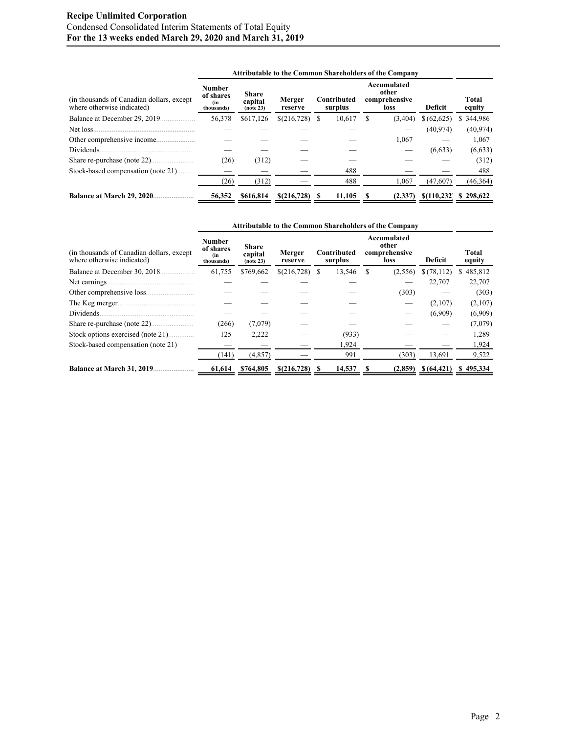# **Recipe Unlimited Corporation** Condensed Consolidated Interim Statements of Total Equity **For the 13 weeks ended March 29, 2020 and March 31, 2019**

|                                                                         | <b>Attributable to the Common Shareholders of the Company</b> |                                      |                   |    |                        |     |                                               |             |                 |  |
|-------------------------------------------------------------------------|---------------------------------------------------------------|--------------------------------------|-------------------|----|------------------------|-----|-----------------------------------------------|-------------|-----------------|--|
| (in thousands of Canadian dollars, except<br>where otherwise indicated) | <b>Number</b><br>of shares<br>(in<br>thousands)               | <b>Share</b><br>capital<br>(note 23) | Merger<br>reserve |    | Contributed<br>surplus |     | Accumulated<br>other<br>comprehensive<br>loss | Deficit     | Total<br>equity |  |
| Balance at December 29, 2019.                                           | 56,378                                                        | \$617,126                            | \$(216,728)       | S  | 10,617                 | \$. | (3,404)                                       | \$ (62,625) | \$344,986       |  |
|                                                                         |                                                               |                                      |                   |    |                        |     |                                               | (40.974)    | (40, 974)       |  |
|                                                                         |                                                               |                                      |                   |    |                        |     | 1,067                                         |             | 1,067           |  |
| Dividends.                                                              |                                                               |                                      |                   |    |                        |     |                                               | (6, 633)    | (6, 633)        |  |
| Share re-purchase (note 22)                                             | (26)                                                          | (312)                                |                   |    |                        |     |                                               |             | (312)           |  |
| Stock-based compensation (note 21)                                      |                                                               |                                      |                   |    | 488                    |     |                                               |             | 488             |  |
|                                                                         | (26)                                                          | (312)                                |                   |    | 488                    |     | 1.067                                         | (47,607)    | (46, 364)       |  |
| Balance at March 29, 2020.                                              | 56,352                                                        | \$616,814                            | \$(216,728)       | -8 | 11.105                 |     | (2,337)                                       | \$(110.232) | \$298,622       |  |

|                                                                          | <b>Attributable to the Common Shareholders of the Company</b> |                                      |                   |   |                        |     |                                               |             |                 |
|--------------------------------------------------------------------------|---------------------------------------------------------------|--------------------------------------|-------------------|---|------------------------|-----|-----------------------------------------------|-------------|-----------------|
| (in thousands of Canadian dollars, except)<br>where otherwise indicated) | Number<br>of shares<br>(in<br>thousands)                      | <b>Share</b><br>capital<br>(note 23) | Merger<br>reserve |   | Contributed<br>surplus |     | Accumulated<br>other<br>comprehensive<br>loss | Deficit     | Total<br>equity |
| Balance at December 30, 2018.                                            | 61,755                                                        | \$769,662                            | \$(216,728)       | S | 13,546                 | \$. | (2,556)                                       | \$(78,112)  | \$485,812       |
| Net earnings                                                             |                                                               |                                      |                   |   |                        |     |                                               | 22,707      | 22,707          |
|                                                                          |                                                               |                                      |                   |   |                        |     | (303)                                         |             | (303)           |
| The Keg merger                                                           |                                                               |                                      |                   |   |                        |     |                                               | (2,107)     | (2,107)         |
| Dividends.                                                               |                                                               |                                      |                   |   |                        |     |                                               | (6,909)     | (6,909)         |
|                                                                          | (266)                                                         | (7,079)                              |                   |   |                        |     |                                               |             | (7,079)         |
| Stock options exercised (note 21)                                        | 125                                                           | 2,222                                |                   |   | (933)                  |     |                                               |             | 1,289           |
| Stock-based compensation (note 21)                                       |                                                               |                                      |                   |   | 1,924                  |     |                                               |             | 1,924           |
|                                                                          | (141)                                                         | (4,857)                              |                   |   | 991                    |     | (303)                                         | 13,691      | 9,522           |
| <b>Balance at March 31, 2019</b>                                         | 61,614                                                        | \$764,805                            | \$(216,728)       | S | 14,537                 |     | (2,859)                                       | \$(64, 421) | \$495,334       |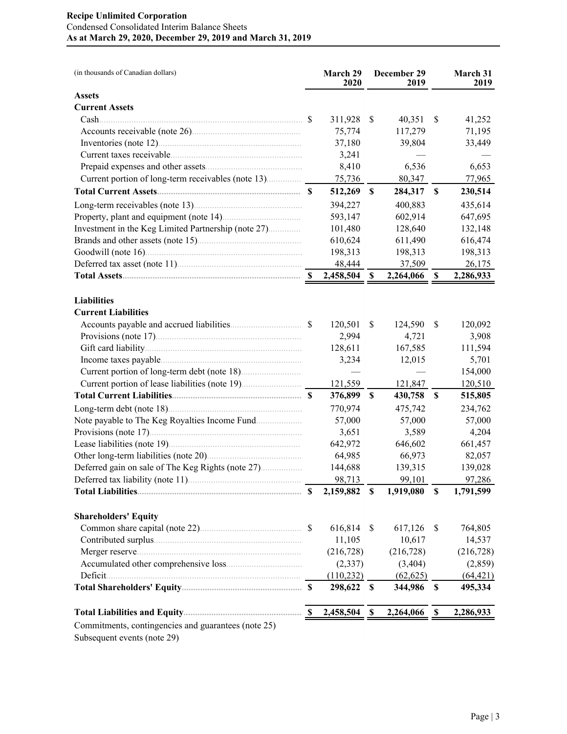# **Recipe Unlimited Corporation** Condensed Consolidated Interim Balance Sheets **As at March 29, 2020, December 29, 2019 and March 31, 2019**

| <b>Assets</b><br><b>Current Assets</b><br>41,252<br>311,928<br>\$<br>40,351<br>\$<br>71,195<br>75,774<br>117,279<br>37,180<br>39,804<br>33,449<br>3,241<br>6,536<br>6,653<br>8,410<br>75,736<br>Current portion of long-term receivables (note 13)<br>80,347<br>77,965<br>$\boldsymbol{\mathsf{S}}$<br>512,269<br>284,317<br>$\boldsymbol{\mathsf{S}}$<br>230,514<br>394,227<br>400,883<br>Long-term receivables (note 13)<br>435,614<br>Property, plant and equipment (note 14).<br>593,147<br>602,914<br>647,695<br>Investment in the Keg Limited Partnership (note 27)<br>128,640<br>101,480<br>132,148<br>Brands and other assets (note 15).<br>610,624<br>616,474<br>611,490<br>198,313<br>198,313<br>198,313<br>48,444<br>26,175<br>37,509<br>2,458,504<br>2,264,066<br>\$<br>\$<br>2,286,933<br><b>Liabilities</b><br><b>Current Liabilities</b><br><sup>\$</sup><br>120,501<br>\$<br>124,590<br>\$<br>120,092<br>2,994<br>4,721<br>3,908<br>128,611<br>167,585<br>111,594<br>3,234<br>12,015<br>5,701<br>154,000<br>121,559<br>121,847<br>120,510<br>376,899<br>$\mathbb S$<br>430,758<br>\$<br>515,805<br>770,974<br>234,762<br>Long-term debt (note 18).<br>475,742<br>57,000<br>57,000<br>57,000<br>3,651<br>3,589<br>4,204<br>642,972<br>646,602<br>661,457<br>66,973<br>64,985<br>82,057<br>144,688<br>139,315<br>139,028<br>98,713<br>97,286<br>Deferred tax liability (note 11).<br>99,101<br>1,791,599<br>2,159,882<br>\$<br>1,919,080<br>\$<br>-S<br><b>Shareholders' Equity</b><br>Common share capital (note 22)<br>616,814<br>617,126<br>\$<br>764,805<br>\$<br>11,105<br>10,617<br>14,537<br>(216, 728)<br>(216, 728)<br>(2, 337)<br>(3, 404)<br>Deficit.<br>(110, 232)<br>(62, 625)<br>298,622<br>344,986<br>495,334<br>\$<br>\$<br>2,458,504<br>\$<br>2,264,066<br>- \$<br>S<br>2,286,933<br>Commitments, contingencies and guarantees (note 25) | (in thousands of Canadian dollars) | March 29<br>2020 | December 29<br>2019 | March 31<br>2019 |
|-------------------------------------------------------------------------------------------------------------------------------------------------------------------------------------------------------------------------------------------------------------------------------------------------------------------------------------------------------------------------------------------------------------------------------------------------------------------------------------------------------------------------------------------------------------------------------------------------------------------------------------------------------------------------------------------------------------------------------------------------------------------------------------------------------------------------------------------------------------------------------------------------------------------------------------------------------------------------------------------------------------------------------------------------------------------------------------------------------------------------------------------------------------------------------------------------------------------------------------------------------------------------------------------------------------------------------------------------------------------------------------------------------------------------------------------------------------------------------------------------------------------------------------------------------------------------------------------------------------------------------------------------------------------------------------------------------------------------------------------------------------------------------------------------------------------------------------------------------------------------|------------------------------------|------------------|---------------------|------------------|
|                                                                                                                                                                                                                                                                                                                                                                                                                                                                                                                                                                                                                                                                                                                                                                                                                                                                                                                                                                                                                                                                                                                                                                                                                                                                                                                                                                                                                                                                                                                                                                                                                                                                                                                                                                                                                                                                         |                                    |                  |                     |                  |
|                                                                                                                                                                                                                                                                                                                                                                                                                                                                                                                                                                                                                                                                                                                                                                                                                                                                                                                                                                                                                                                                                                                                                                                                                                                                                                                                                                                                                                                                                                                                                                                                                                                                                                                                                                                                                                                                         |                                    |                  |                     |                  |
|                                                                                                                                                                                                                                                                                                                                                                                                                                                                                                                                                                                                                                                                                                                                                                                                                                                                                                                                                                                                                                                                                                                                                                                                                                                                                                                                                                                                                                                                                                                                                                                                                                                                                                                                                                                                                                                                         |                                    |                  |                     |                  |
|                                                                                                                                                                                                                                                                                                                                                                                                                                                                                                                                                                                                                                                                                                                                                                                                                                                                                                                                                                                                                                                                                                                                                                                                                                                                                                                                                                                                                                                                                                                                                                                                                                                                                                                                                                                                                                                                         |                                    |                  |                     |                  |
|                                                                                                                                                                                                                                                                                                                                                                                                                                                                                                                                                                                                                                                                                                                                                                                                                                                                                                                                                                                                                                                                                                                                                                                                                                                                                                                                                                                                                                                                                                                                                                                                                                                                                                                                                                                                                                                                         |                                    |                  |                     |                  |
|                                                                                                                                                                                                                                                                                                                                                                                                                                                                                                                                                                                                                                                                                                                                                                                                                                                                                                                                                                                                                                                                                                                                                                                                                                                                                                                                                                                                                                                                                                                                                                                                                                                                                                                                                                                                                                                                         |                                    |                  |                     |                  |
|                                                                                                                                                                                                                                                                                                                                                                                                                                                                                                                                                                                                                                                                                                                                                                                                                                                                                                                                                                                                                                                                                                                                                                                                                                                                                                                                                                                                                                                                                                                                                                                                                                                                                                                                                                                                                                                                         |                                    |                  |                     |                  |
|                                                                                                                                                                                                                                                                                                                                                                                                                                                                                                                                                                                                                                                                                                                                                                                                                                                                                                                                                                                                                                                                                                                                                                                                                                                                                                                                                                                                                                                                                                                                                                                                                                                                                                                                                                                                                                                                         |                                    |                  |                     |                  |
|                                                                                                                                                                                                                                                                                                                                                                                                                                                                                                                                                                                                                                                                                                                                                                                                                                                                                                                                                                                                                                                                                                                                                                                                                                                                                                                                                                                                                                                                                                                                                                                                                                                                                                                                                                                                                                                                         |                                    |                  |                     |                  |
|                                                                                                                                                                                                                                                                                                                                                                                                                                                                                                                                                                                                                                                                                                                                                                                                                                                                                                                                                                                                                                                                                                                                                                                                                                                                                                                                                                                                                                                                                                                                                                                                                                                                                                                                                                                                                                                                         |                                    |                  |                     |                  |
|                                                                                                                                                                                                                                                                                                                                                                                                                                                                                                                                                                                                                                                                                                                                                                                                                                                                                                                                                                                                                                                                                                                                                                                                                                                                                                                                                                                                                                                                                                                                                                                                                                                                                                                                                                                                                                                                         |                                    |                  |                     |                  |
|                                                                                                                                                                                                                                                                                                                                                                                                                                                                                                                                                                                                                                                                                                                                                                                                                                                                                                                                                                                                                                                                                                                                                                                                                                                                                                                                                                                                                                                                                                                                                                                                                                                                                                                                                                                                                                                                         |                                    |                  |                     |                  |
|                                                                                                                                                                                                                                                                                                                                                                                                                                                                                                                                                                                                                                                                                                                                                                                                                                                                                                                                                                                                                                                                                                                                                                                                                                                                                                                                                                                                                                                                                                                                                                                                                                                                                                                                                                                                                                                                         |                                    |                  |                     |                  |
|                                                                                                                                                                                                                                                                                                                                                                                                                                                                                                                                                                                                                                                                                                                                                                                                                                                                                                                                                                                                                                                                                                                                                                                                                                                                                                                                                                                                                                                                                                                                                                                                                                                                                                                                                                                                                                                                         |                                    |                  |                     |                  |
|                                                                                                                                                                                                                                                                                                                                                                                                                                                                                                                                                                                                                                                                                                                                                                                                                                                                                                                                                                                                                                                                                                                                                                                                                                                                                                                                                                                                                                                                                                                                                                                                                                                                                                                                                                                                                                                                         |                                    |                  |                     |                  |
|                                                                                                                                                                                                                                                                                                                                                                                                                                                                                                                                                                                                                                                                                                                                                                                                                                                                                                                                                                                                                                                                                                                                                                                                                                                                                                                                                                                                                                                                                                                                                                                                                                                                                                                                                                                                                                                                         |                                    |                  |                     |                  |
|                                                                                                                                                                                                                                                                                                                                                                                                                                                                                                                                                                                                                                                                                                                                                                                                                                                                                                                                                                                                                                                                                                                                                                                                                                                                                                                                                                                                                                                                                                                                                                                                                                                                                                                                                                                                                                                                         |                                    |                  |                     |                  |
|                                                                                                                                                                                                                                                                                                                                                                                                                                                                                                                                                                                                                                                                                                                                                                                                                                                                                                                                                                                                                                                                                                                                                                                                                                                                                                                                                                                                                                                                                                                                                                                                                                                                                                                                                                                                                                                                         |                                    |                  |                     |                  |
|                                                                                                                                                                                                                                                                                                                                                                                                                                                                                                                                                                                                                                                                                                                                                                                                                                                                                                                                                                                                                                                                                                                                                                                                                                                                                                                                                                                                                                                                                                                                                                                                                                                                                                                                                                                                                                                                         |                                    |                  |                     |                  |
|                                                                                                                                                                                                                                                                                                                                                                                                                                                                                                                                                                                                                                                                                                                                                                                                                                                                                                                                                                                                                                                                                                                                                                                                                                                                                                                                                                                                                                                                                                                                                                                                                                                                                                                                                                                                                                                                         |                                    |                  |                     |                  |
|                                                                                                                                                                                                                                                                                                                                                                                                                                                                                                                                                                                                                                                                                                                                                                                                                                                                                                                                                                                                                                                                                                                                                                                                                                                                                                                                                                                                                                                                                                                                                                                                                                                                                                                                                                                                                                                                         |                                    |                  |                     |                  |
|                                                                                                                                                                                                                                                                                                                                                                                                                                                                                                                                                                                                                                                                                                                                                                                                                                                                                                                                                                                                                                                                                                                                                                                                                                                                                                                                                                                                                                                                                                                                                                                                                                                                                                                                                                                                                                                                         |                                    |                  |                     |                  |
|                                                                                                                                                                                                                                                                                                                                                                                                                                                                                                                                                                                                                                                                                                                                                                                                                                                                                                                                                                                                                                                                                                                                                                                                                                                                                                                                                                                                                                                                                                                                                                                                                                                                                                                                                                                                                                                                         |                                    |                  |                     |                  |
|                                                                                                                                                                                                                                                                                                                                                                                                                                                                                                                                                                                                                                                                                                                                                                                                                                                                                                                                                                                                                                                                                                                                                                                                                                                                                                                                                                                                                                                                                                                                                                                                                                                                                                                                                                                                                                                                         |                                    |                  |                     |                  |
|                                                                                                                                                                                                                                                                                                                                                                                                                                                                                                                                                                                                                                                                                                                                                                                                                                                                                                                                                                                                                                                                                                                                                                                                                                                                                                                                                                                                                                                                                                                                                                                                                                                                                                                                                                                                                                                                         |                                    |                  |                     |                  |
|                                                                                                                                                                                                                                                                                                                                                                                                                                                                                                                                                                                                                                                                                                                                                                                                                                                                                                                                                                                                                                                                                                                                                                                                                                                                                                                                                                                                                                                                                                                                                                                                                                                                                                                                                                                                                                                                         |                                    |                  |                     |                  |
|                                                                                                                                                                                                                                                                                                                                                                                                                                                                                                                                                                                                                                                                                                                                                                                                                                                                                                                                                                                                                                                                                                                                                                                                                                                                                                                                                                                                                                                                                                                                                                                                                                                                                                                                                                                                                                                                         |                                    |                  |                     |                  |
|                                                                                                                                                                                                                                                                                                                                                                                                                                                                                                                                                                                                                                                                                                                                                                                                                                                                                                                                                                                                                                                                                                                                                                                                                                                                                                                                                                                                                                                                                                                                                                                                                                                                                                                                                                                                                                                                         |                                    |                  |                     |                  |
|                                                                                                                                                                                                                                                                                                                                                                                                                                                                                                                                                                                                                                                                                                                                                                                                                                                                                                                                                                                                                                                                                                                                                                                                                                                                                                                                                                                                                                                                                                                                                                                                                                                                                                                                                                                                                                                                         |                                    |                  |                     |                  |
|                                                                                                                                                                                                                                                                                                                                                                                                                                                                                                                                                                                                                                                                                                                                                                                                                                                                                                                                                                                                                                                                                                                                                                                                                                                                                                                                                                                                                                                                                                                                                                                                                                                                                                                                                                                                                                                                         |                                    |                  |                     |                  |
|                                                                                                                                                                                                                                                                                                                                                                                                                                                                                                                                                                                                                                                                                                                                                                                                                                                                                                                                                                                                                                                                                                                                                                                                                                                                                                                                                                                                                                                                                                                                                                                                                                                                                                                                                                                                                                                                         |                                    |                  |                     |                  |
|                                                                                                                                                                                                                                                                                                                                                                                                                                                                                                                                                                                                                                                                                                                                                                                                                                                                                                                                                                                                                                                                                                                                                                                                                                                                                                                                                                                                                                                                                                                                                                                                                                                                                                                                                                                                                                                                         |                                    |                  |                     |                  |
|                                                                                                                                                                                                                                                                                                                                                                                                                                                                                                                                                                                                                                                                                                                                                                                                                                                                                                                                                                                                                                                                                                                                                                                                                                                                                                                                                                                                                                                                                                                                                                                                                                                                                                                                                                                                                                                                         |                                    |                  |                     |                  |
|                                                                                                                                                                                                                                                                                                                                                                                                                                                                                                                                                                                                                                                                                                                                                                                                                                                                                                                                                                                                                                                                                                                                                                                                                                                                                                                                                                                                                                                                                                                                                                                                                                                                                                                                                                                                                                                                         |                                    |                  |                     |                  |
|                                                                                                                                                                                                                                                                                                                                                                                                                                                                                                                                                                                                                                                                                                                                                                                                                                                                                                                                                                                                                                                                                                                                                                                                                                                                                                                                                                                                                                                                                                                                                                                                                                                                                                                                                                                                                                                                         |                                    |                  |                     |                  |
|                                                                                                                                                                                                                                                                                                                                                                                                                                                                                                                                                                                                                                                                                                                                                                                                                                                                                                                                                                                                                                                                                                                                                                                                                                                                                                                                                                                                                                                                                                                                                                                                                                                                                                                                                                                                                                                                         |                                    |                  |                     |                  |
|                                                                                                                                                                                                                                                                                                                                                                                                                                                                                                                                                                                                                                                                                                                                                                                                                                                                                                                                                                                                                                                                                                                                                                                                                                                                                                                                                                                                                                                                                                                                                                                                                                                                                                                                                                                                                                                                         |                                    |                  |                     |                  |
|                                                                                                                                                                                                                                                                                                                                                                                                                                                                                                                                                                                                                                                                                                                                                                                                                                                                                                                                                                                                                                                                                                                                                                                                                                                                                                                                                                                                                                                                                                                                                                                                                                                                                                                                                                                                                                                                         |                                    |                  |                     | (216, 728)       |
|                                                                                                                                                                                                                                                                                                                                                                                                                                                                                                                                                                                                                                                                                                                                                                                                                                                                                                                                                                                                                                                                                                                                                                                                                                                                                                                                                                                                                                                                                                                                                                                                                                                                                                                                                                                                                                                                         |                                    |                  |                     | (2,859)          |
|                                                                                                                                                                                                                                                                                                                                                                                                                                                                                                                                                                                                                                                                                                                                                                                                                                                                                                                                                                                                                                                                                                                                                                                                                                                                                                                                                                                                                                                                                                                                                                                                                                                                                                                                                                                                                                                                         |                                    |                  |                     | (64, 421)        |
|                                                                                                                                                                                                                                                                                                                                                                                                                                                                                                                                                                                                                                                                                                                                                                                                                                                                                                                                                                                                                                                                                                                                                                                                                                                                                                                                                                                                                                                                                                                                                                                                                                                                                                                                                                                                                                                                         |                                    |                  |                     |                  |
|                                                                                                                                                                                                                                                                                                                                                                                                                                                                                                                                                                                                                                                                                                                                                                                                                                                                                                                                                                                                                                                                                                                                                                                                                                                                                                                                                                                                                                                                                                                                                                                                                                                                                                                                                                                                                                                                         |                                    |                  |                     |                  |
|                                                                                                                                                                                                                                                                                                                                                                                                                                                                                                                                                                                                                                                                                                                                                                                                                                                                                                                                                                                                                                                                                                                                                                                                                                                                                                                                                                                                                                                                                                                                                                                                                                                                                                                                                                                                                                                                         |                                    |                  |                     |                  |

Subsequent events (note 29)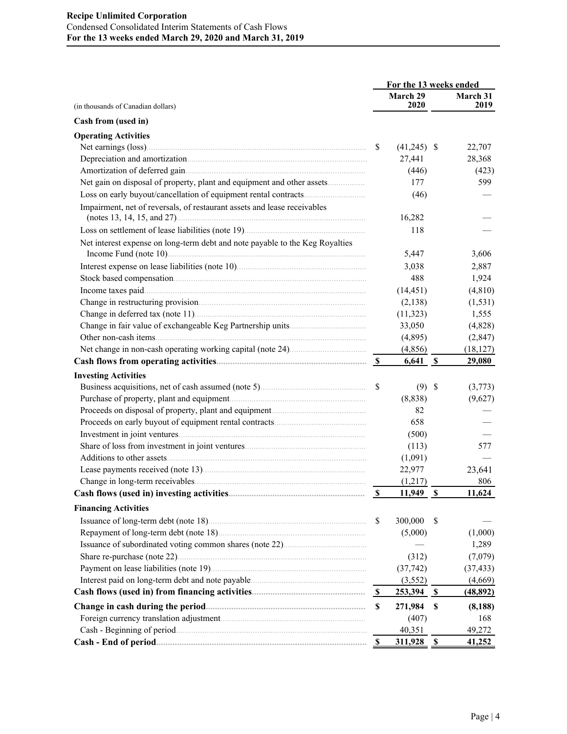|                                                                              | For the 13 weeks ended    |                   |                           |                  |  |
|------------------------------------------------------------------------------|---------------------------|-------------------|---------------------------|------------------|--|
| (in thousands of Canadian dollars)                                           |                           | March 29<br>2020  |                           | March 31<br>2019 |  |
| Cash from (used in)                                                          |                           |                   |                           |                  |  |
|                                                                              |                           |                   |                           |                  |  |
| <b>Operating Activities</b>                                                  | <sup>\$</sup>             | $(41,245)$ \$     |                           | 22,707           |  |
|                                                                              |                           | 27,441            |                           | 28,368           |  |
|                                                                              |                           | (446)             |                           | (423)            |  |
| Net gain on disposal of property, plant and equipment and other assets       |                           | 177               |                           | 599              |  |
|                                                                              |                           | (46)              |                           |                  |  |
| Impairment, net of reversals, of restaurant assets and lease receivables     |                           |                   |                           |                  |  |
|                                                                              |                           | 16,282            |                           |                  |  |
|                                                                              |                           | 118               |                           |                  |  |
| Net interest expense on long-term debt and note payable to the Keg Royalties |                           | 5,447             |                           | 3,606            |  |
|                                                                              |                           | 3,038             |                           | 2,887            |  |
|                                                                              |                           | 488               |                           | 1,924            |  |
|                                                                              |                           | (14, 451)         |                           | (4, 810)         |  |
|                                                                              |                           | (2,138)           |                           | (1, 531)         |  |
|                                                                              |                           | (11, 323)         |                           | 1,555            |  |
|                                                                              |                           | 33,050            |                           | (4,828)          |  |
|                                                                              |                           | (4,895)           |                           | (2, 847)         |  |
|                                                                              |                           | (4, 856)          |                           | (18, 127)        |  |
|                                                                              |                           | $6,641$ \$        |                           | 29,080           |  |
| <b>Investing Activities</b>                                                  |                           |                   |                           |                  |  |
|                                                                              | $\mathbb{S}$              | $(9)$ \$          |                           | (3,773)          |  |
|                                                                              |                           | (8, 838)          |                           | (9,627)          |  |
|                                                                              |                           | 82                |                           |                  |  |
|                                                                              |                           | 658               |                           |                  |  |
|                                                                              |                           | (500)             |                           |                  |  |
|                                                                              |                           | (113)             |                           | 577              |  |
|                                                                              |                           | (1,091)           |                           |                  |  |
|                                                                              |                           | 22,977            |                           | 23,641           |  |
|                                                                              |                           | (1,217)           |                           | 806              |  |
|                                                                              | $\boldsymbol{\mathsf{S}}$ | 11,949            | $\mathbf S$               | 11,624           |  |
| <b>Financing Activities</b>                                                  |                           |                   |                           |                  |  |
|                                                                              | <sup>\$</sup>             | 300,000           | S                         |                  |  |
|                                                                              |                           | (5,000)           |                           | (1,000)          |  |
|                                                                              |                           |                   |                           | 1,289            |  |
|                                                                              |                           | (312)             |                           | (7,079)          |  |
|                                                                              |                           | (37, 742)         |                           | (37, 433)        |  |
|                                                                              |                           | (3, 552)          |                           | (4,669)          |  |
|                                                                              | - \$                      | <u>253,394 \$</u> |                           | (48, 892)        |  |
|                                                                              | $\boldsymbol{\mathsf{S}}$ | 271,984           | $\boldsymbol{\mathsf{s}}$ | (8, 188)         |  |
|                                                                              |                           | (407)             |                           | 168              |  |
|                                                                              |                           | 40,351            |                           | 49,272           |  |
|                                                                              | -S                        | $311,928$ \$      |                           | 41,252           |  |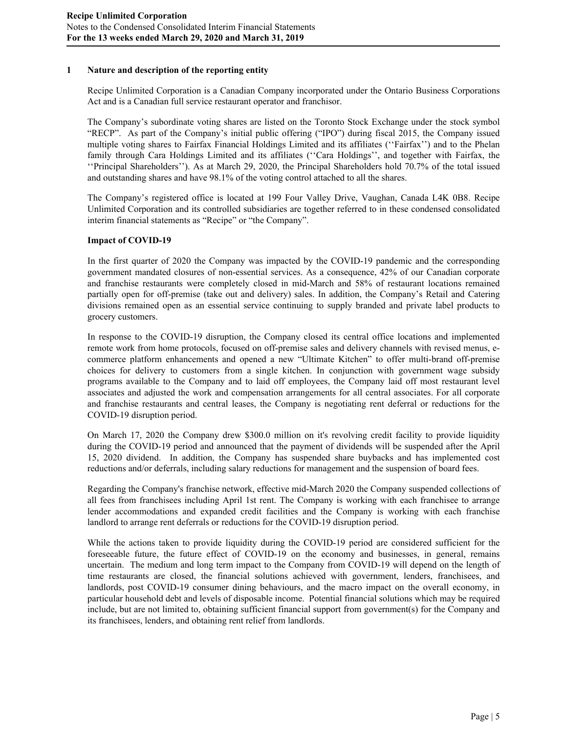## **1 Nature and description of the reporting entity**

Recipe Unlimited Corporation is a Canadian Company incorporated under the Ontario Business Corporations Act and is a Canadian full service restaurant operator and franchisor.

The Company's subordinate voting shares are listed on the Toronto Stock Exchange under the stock symbol "RECP". As part of the Company's initial public offering ("IPO") during fiscal 2015, the Company issued multiple voting shares to Fairfax Financial Holdings Limited and its affiliates (''Fairfax'') and to the Phelan family through Cara Holdings Limited and its affiliates ("Cara Holdings", and together with Fairfax, the ''Principal Shareholders''). As at March 29, 2020, the Principal Shareholders hold 70.7% of the total issued and outstanding shares and have 98.1% of the voting control attached to all the shares.

The Company's registered office is located at 199 Four Valley Drive, Vaughan, Canada L4K 0B8. Recipe Unlimited Corporation and its controlled subsidiaries are together referred to in these condensed consolidated interim financial statements as "Recipe" or "the Company".

## **Impact of COVID-19**

In the first quarter of 2020 the Company was impacted by the COVID-19 pandemic and the corresponding government mandated closures of non-essential services. As a consequence, 42% of our Canadian corporate and franchise restaurants were completely closed in mid-March and 58% of restaurant locations remained partially open for off-premise (take out and delivery) sales. In addition, the Company's Retail and Catering divisions remained open as an essential service continuing to supply branded and private label products to grocery customers.

In response to the COVID-19 disruption, the Company closed its central office locations and implemented remote work from home protocols, focused on off-premise sales and delivery channels with revised menus, ecommerce platform enhancements and opened a new "Ultimate Kitchen" to offer multi-brand off-premise choices for delivery to customers from a single kitchen. In conjunction with government wage subsidy programs available to the Company and to laid off employees, the Company laid off most restaurant level associates and adjusted the work and compensation arrangements for all central associates. For all corporate and franchise restaurants and central leases, the Company is negotiating rent deferral or reductions for the COVID-19 disruption period.

On March 17, 2020 the Company drew \$300.0 million on it's revolving credit facility to provide liquidity during the COVID-19 period and announced that the payment of dividends will be suspended after the April 15, 2020 dividend. In addition, the Company has suspended share buybacks and has implemented cost reductions and/or deferrals, including salary reductions for management and the suspension of board fees.

Regarding the Company's franchise network, effective mid-March 2020 the Company suspended collections of all fees from franchisees including April 1st rent. The Company is working with each franchisee to arrange lender accommodations and expanded credit facilities and the Company is working with each franchise landlord to arrange rent deferrals or reductions for the COVID-19 disruption period.

While the actions taken to provide liquidity during the COVID-19 period are considered sufficient for the foreseeable future, the future effect of COVID-19 on the economy and businesses, in general, remains uncertain. The medium and long term impact to the Company from COVID-19 will depend on the length of time restaurants are closed, the financial solutions achieved with government, lenders, franchisees, and landlords, post COVID-19 consumer dining behaviours, and the macro impact on the overall economy, in particular household debt and levels of disposable income. Potential financial solutions which may be required include, but are not limited to, obtaining sufficient financial support from government(s) for the Company and its franchisees, lenders, and obtaining rent relief from landlords.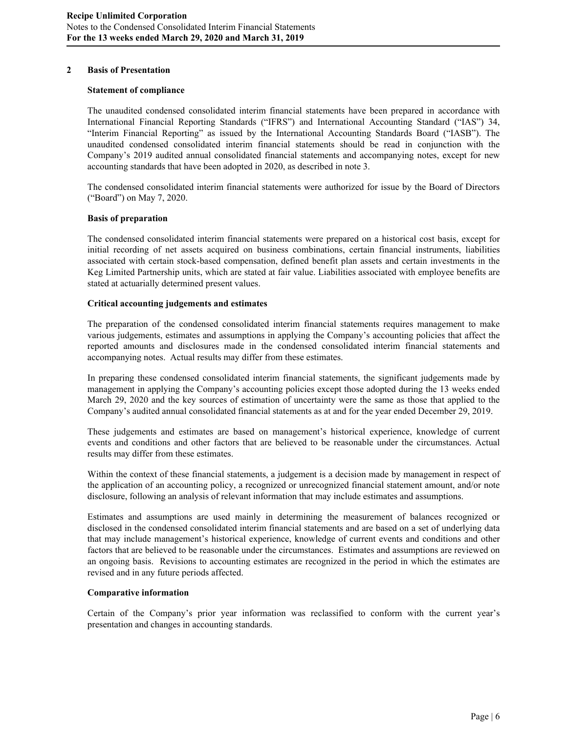### **2 Basis of Presentation**

#### **Statement of compliance**

The unaudited condensed consolidated interim financial statements have been prepared in accordance with International Financial Reporting Standards ("IFRS") and International Accounting Standard ("IAS") 34, "Interim Financial Reporting" as issued by the International Accounting Standards Board ("IASB"). The unaudited condensed consolidated interim financial statements should be read in conjunction with the Company's 2019 audited annual consolidated financial statements and accompanying notes, except for new accounting standards that have been adopted in 2020, as described in note 3.

The condensed consolidated interim financial statements were authorized for issue by the Board of Directors ("Board") on May 7, 2020.

#### **Basis of preparation**

The condensed consolidated interim financial statements were prepared on a historical cost basis, except for initial recording of net assets acquired on business combinations, certain financial instruments, liabilities associated with certain stock-based compensation, defined benefit plan assets and certain investments in the Keg Limited Partnership units, which are stated at fair value. Liabilities associated with employee benefits are stated at actuarially determined present values.

## **Critical accounting judgements and estimates**

The preparation of the condensed consolidated interim financial statements requires management to make various judgements, estimates and assumptions in applying the Company's accounting policies that affect the reported amounts and disclosures made in the condensed consolidated interim financial statements and accompanying notes. Actual results may differ from these estimates.

In preparing these condensed consolidated interim financial statements, the significant judgements made by management in applying the Company's accounting policies except those adopted during the 13 weeks ended March 29, 2020 and the key sources of estimation of uncertainty were the same as those that applied to the Company's audited annual consolidated financial statements as at and for the year ended December 29, 2019.

These judgements and estimates are based on management's historical experience, knowledge of current events and conditions and other factors that are believed to be reasonable under the circumstances. Actual results may differ from these estimates.

Within the context of these financial statements, a judgement is a decision made by management in respect of the application of an accounting policy, a recognized or unrecognized financial statement amount, and/or note disclosure, following an analysis of relevant information that may include estimates and assumptions.

Estimates and assumptions are used mainly in determining the measurement of balances recognized or disclosed in the condensed consolidated interim financial statements and are based on a set of underlying data that may include management's historical experience, knowledge of current events and conditions and other factors that are believed to be reasonable under the circumstances. Estimates and assumptions are reviewed on an ongoing basis. Revisions to accounting estimates are recognized in the period in which the estimates are revised and in any future periods affected.

#### **Comparative information**

Certain of the Company's prior year information was reclassified to conform with the current year's presentation and changes in accounting standards.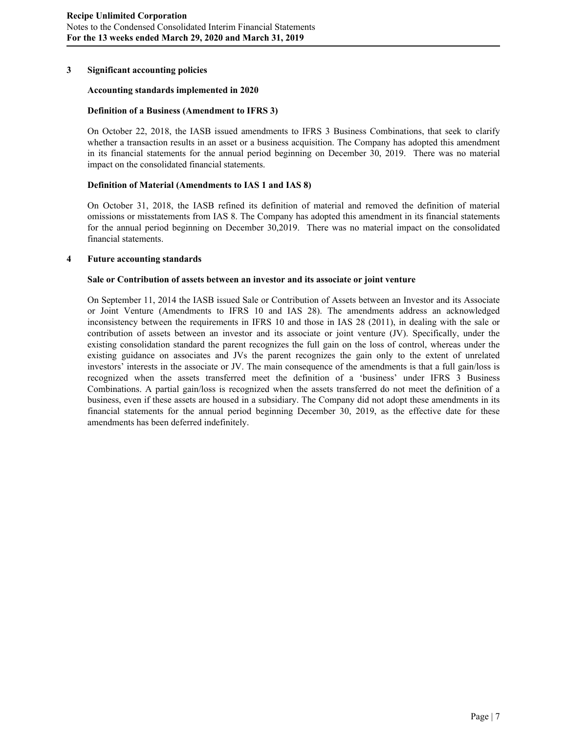## **3 Significant accounting policies**

#### **Accounting standards implemented in 2020**

#### **Definition of a Business (Amendment to IFRS 3)**

On October 22, 2018, the IASB issued amendments to IFRS 3 Business Combinations, that seek to clarify whether a transaction results in an asset or a business acquisition. The Company has adopted this amendment in its financial statements for the annual period beginning on December 30, 2019. There was no material impact on the consolidated financial statements.

#### **Definition of Material (Amendments to IAS 1 and IAS 8)**

On October 31, 2018, the IASB refined its definition of material and removed the definition of material omissions or misstatements from IAS 8. The Company has adopted this amendment in its financial statements for the annual period beginning on December 30,2019. There was no material impact on the consolidated financial statements.

#### **4 Future accounting standards**

#### **Sale or Contribution of assets between an investor and its associate or joint venture**

On September 11, 2014 the IASB issued Sale or Contribution of Assets between an Investor and its Associate or Joint Venture (Amendments to IFRS 10 and IAS 28). The amendments address an acknowledged inconsistency between the requirements in IFRS 10 and those in IAS 28 (2011), in dealing with the sale or contribution of assets between an investor and its associate or joint venture (JV). Specifically, under the existing consolidation standard the parent recognizes the full gain on the loss of control, whereas under the existing guidance on associates and JVs the parent recognizes the gain only to the extent of unrelated investors' interests in the associate or JV. The main consequence of the amendments is that a full gain/loss is recognized when the assets transferred meet the definition of a 'business' under IFRS 3 Business Combinations. A partial gain/loss is recognized when the assets transferred do not meet the definition of a business, even if these assets are housed in a subsidiary. The Company did not adopt these amendments in its financial statements for the annual period beginning December 30, 2019, as the effective date for these amendments has been deferred indefinitely.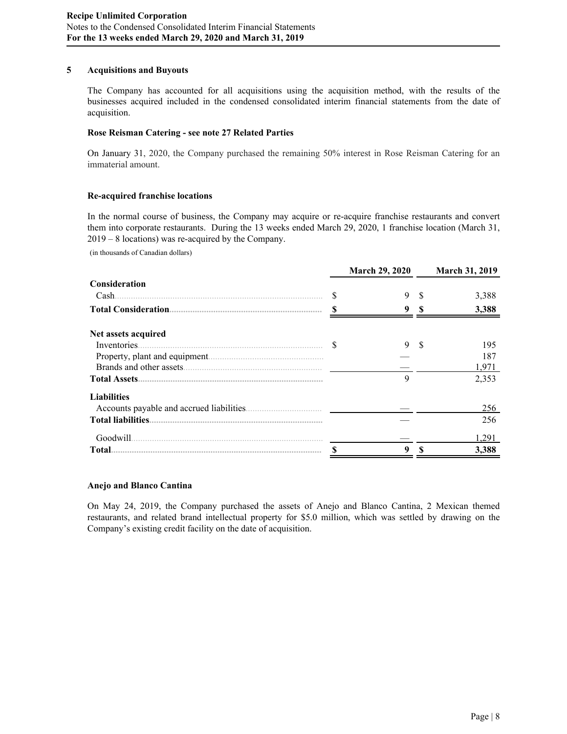## **5 Acquisitions and Buyouts**

The Company has accounted for all acquisitions using the acquisition method, with the results of the businesses acquired included in the condensed consolidated interim financial statements from the date of acquisition.

### **Rose Reisman Catering - see note 27 Related Parties**

On January 31, 2020, the Company purchased the remaining 50% interest in Rose Reisman Catering for an immaterial amount.

## **Re-acquired franchise locations**

In the normal course of business, the Company may acquire or re-acquire franchise restaurants and convert them into corporate restaurants. During the 13 weeks ended March 29, 2020, 1 franchise location (March 31, 2019 – 8 locations) was re-acquired by the Company.

(in thousands of Canadian dollars)

|                     |   | <b>March 29, 2020</b> | <b>March 31, 2019</b> |
|---------------------|---|-----------------------|-----------------------|
| Consideration       |   |                       |                       |
| Cash.               | S | 9                     | 3.388                 |
|                     |   | 9                     | 3,388                 |
| Net assets acquired |   |                       |                       |
| Inventories.        |   | 9                     | 195                   |
|                     |   |                       | 187                   |
|                     |   |                       | 1,971                 |
|                     |   | $\mathbf Q$           | 2,353                 |
| <b>Liabilities</b>  |   |                       |                       |
|                     |   |                       | 256                   |
|                     |   |                       | 256                   |
| Goodwill.           |   |                       | 1.291                 |
| Total.              | S | 9                     | 3.388                 |

#### **Anejo and Blanco Cantina**

On May 24, 2019, the Company purchased the assets of Anejo and Blanco Cantina, 2 Mexican themed restaurants, and related brand intellectual property for \$5.0 million, which was settled by drawing on the Company's existing credit facility on the date of acquisition.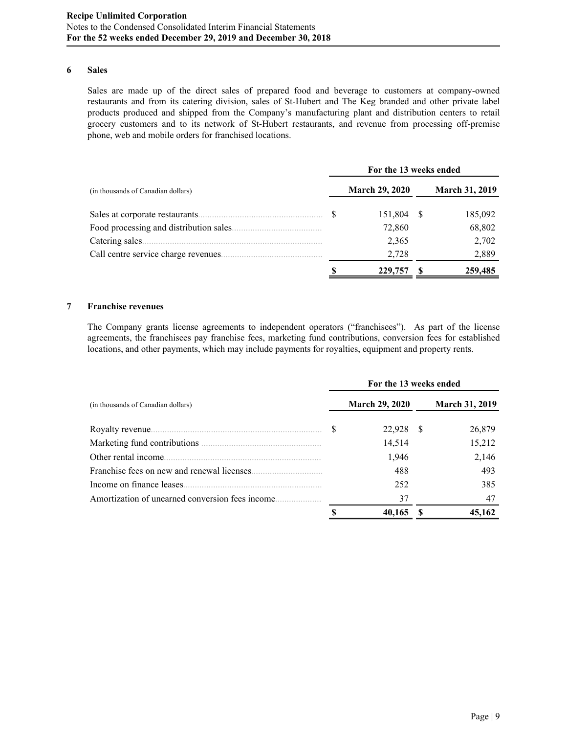### **6 Sales**

Sales are made up of the direct sales of prepared food and beverage to customers at company-owned restaurants and from its catering division, sales of St-Hubert and The Keg branded and other private label products produced and shipped from the Company's manufacturing plant and distribution centers to retail grocery customers and to its network of St-Hubert restaurants, and revenue from processing off-premise phone, web and mobile orders for franchised locations.

|                                         | For the 13 weeks ended |    |                       |
|-----------------------------------------|------------------------|----|-----------------------|
| (in thousands of Canadian dollars)      | <b>March 29, 2020</b>  |    | <b>March 31, 2019</b> |
| Sales at corporate restaurants.         | 151,804                | -S | 185,092               |
| Food processing and distribution sales. | 72,860                 |    | 68,802                |
| Catering sales.                         | 2,365                  |    | 2,702                 |
| Call centre service charge revenues.    | 2,728                  |    | 2,889                 |
|                                         | 229,757                |    | 259,485               |

## **7 Franchise revenues**

The Company grants license agreements to independent operators ("franchisees"). As part of the license agreements, the franchisees pay franchise fees, marketing fund contributions, conversion fees for established locations, and other payments, which may include payments for royalties, equipment and property rents.

|                                                  | For the 13 weeks ended |                       |
|--------------------------------------------------|------------------------|-----------------------|
| (in thousands of Canadian dollars)               | <b>March 29, 2020</b>  | <b>March 31, 2019</b> |
|                                                  | 22,928 \$              | 26,879                |
|                                                  | 14,514                 | 15,212                |
| Other rental income.                             | 1,946                  | 2,146                 |
|                                                  | 488                    | 493                   |
| Income on finance leases.                        | 252                    | 385                   |
| Amortization of unearned conversion fees income. | 37                     | 47                    |
|                                                  | 40,165                 | 45,162                |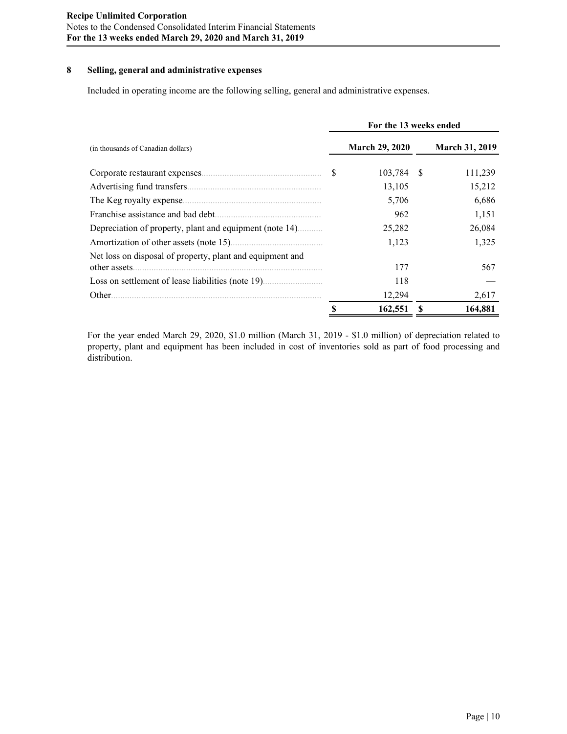## **8 Selling, general and administrative expenses**

Included in operating income are the following selling, general and administrative expenses.

|                                                                            |              | For the 13 weeks ended |     |                       |
|----------------------------------------------------------------------------|--------------|------------------------|-----|-----------------------|
| (in thousands of Canadian dollars)                                         |              | <b>March 29, 2020</b>  |     | <b>March 31, 2019</b> |
|                                                                            | <sup>S</sup> | 103,784                | - S | 111,239               |
|                                                                            |              | 13,105                 |     | 15,212                |
| The Keg royalty expense                                                    |              | 5,706                  |     | 6,686                 |
| Franchise assistance and bad debt.                                         |              | 962                    |     | 1,151                 |
| Depreciation of property, plant and equipment (note 14)                    |              | 25,282                 |     | 26,084                |
|                                                                            |              | 1,123                  |     | 1,325                 |
| Net loss on disposal of property, plant and equipment and<br>other assets. |              | 177                    |     | 567                   |
|                                                                            |              | 118                    |     |                       |
| Other.                                                                     |              | 12,294                 |     | 2,617                 |
|                                                                            |              | 162,551                |     | 164,881               |

For the year ended March 29, 2020, \$1.0 million (March 31, 2019 - \$1.0 million) of depreciation related to property, plant and equipment has been included in cost of inventories sold as part of food processing and distribution.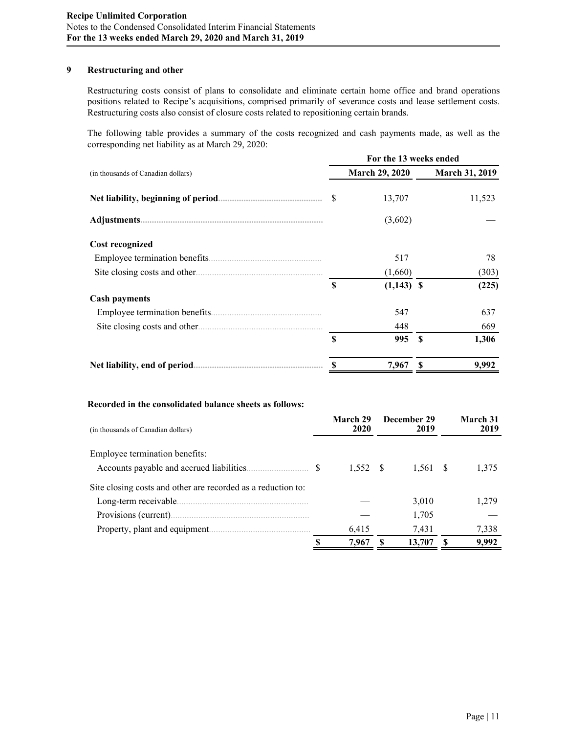## **9 Restructuring and other**

Restructuring costs consist of plans to consolidate and eliminate certain home office and brand operations positions related to Recipe's acquisitions, comprised primarily of severance costs and lease settlement costs. Restructuring costs also consist of closure costs related to repositioning certain brands.

The following table provides a summary of the costs recognized and cash payments made, as well as the corresponding net liability as at March 29, 2020:

|                                    |   | For the 13 weeks ended |      |                       |
|------------------------------------|---|------------------------|------|-----------------------|
| (in thousands of Canadian dollars) |   | <b>March 29, 2020</b>  |      | <b>March 31, 2019</b> |
|                                    |   | 13,707                 |      | 11,523                |
|                                    |   | (3,602)                |      |                       |
| <b>Cost recognized</b>             |   |                        |      |                       |
|                                    |   | 517                    |      | 78                    |
|                                    |   | (1,660)                |      | (303)                 |
|                                    | S | $(1,143)$ \$           |      | (225)                 |
| <b>Cash payments</b>               |   |                        |      |                       |
| Employee termination benefits.     |   | 547                    |      | 637                   |
|                                    |   | 448                    |      | 669                   |
|                                    | S | 995                    | - \$ | 1,306                 |
|                                    |   | 7,967                  |      | 9,992                 |

### **Recorded in the consolidated balance sheets as follows:**

| (in thousands of Canadian dollars)                           | March 29<br>2020 | December 29<br>2019 | March 31<br>2019 |
|--------------------------------------------------------------|------------------|---------------------|------------------|
| Employee termination benefits:                               |                  |                     |                  |
|                                                              | $1,552$ \$       | 1,561 \$            | 1,375            |
| Site closing costs and other are recorded as a reduction to: |                  |                     |                  |
| Long-term receivable.                                        |                  | 3,010               | 1,279            |
|                                                              |                  | 1,705               |                  |
|                                                              | 6,415            | 7.431               | 7,338            |
|                                                              | 7,967            | 13,707              | 9,992            |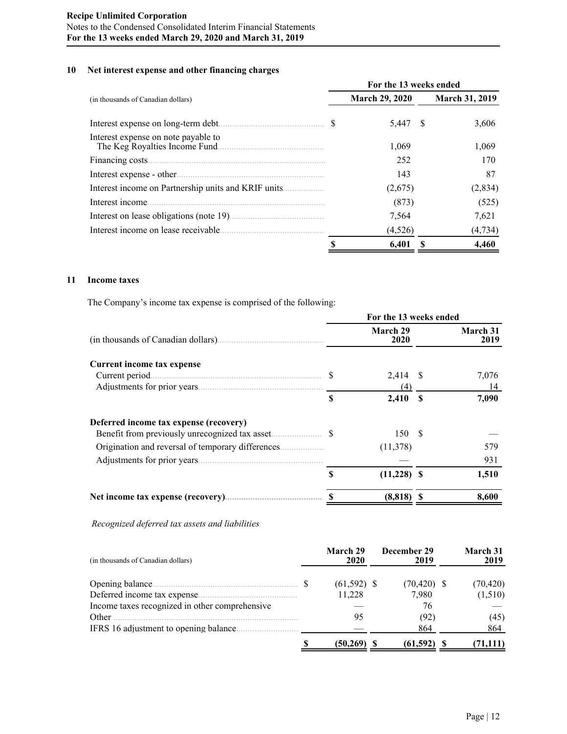# **10 Net interest expense and other financing charges**

|                                         | For the 13 weeks ended |    |                       |
|-----------------------------------------|------------------------|----|-----------------------|
| (in thousands of Canadian dollars)      | <b>March 29, 2020</b>  |    | <b>March 31, 2019</b> |
|                                         | 5,447                  | -8 | 3,606                 |
| Interest expense on note payable to     | 1,069                  |    | 1,069                 |
| Financing costs.                        | 252                    |    | 170                   |
| Interest expense - other                | 143                    |    | 87                    |
|                                         | (2,675)                |    | (2,834)               |
| Interest income.                        | (873)                  |    | (525)                 |
| Interest on lease obligations (note 19) | 7,564                  |    | 7,621                 |
| Interest income on lease receivable     | (4,526)                |    | (4, 734)              |
|                                         | 6.401                  |    | 4.460                 |

# **11 Income taxes**

The Company's income tax expense is comprised of the following:

|                                        | For the 13 weeks ended |                  |      |                  |  |  |  |  |  |
|----------------------------------------|------------------------|------------------|------|------------------|--|--|--|--|--|
|                                        |                        | March 29<br>2020 |      | March 31<br>2019 |  |  |  |  |  |
| Current income tax expense             |                        |                  |      |                  |  |  |  |  |  |
| Current period                         | <b>S</b>               | 2,414 \$         |      | 7,076            |  |  |  |  |  |
|                                        |                        | (4)              |      | 14               |  |  |  |  |  |
|                                        | \$                     | 2,410            | - \$ | 7,090            |  |  |  |  |  |
| Deferred income tax expense (recovery) |                        |                  |      |                  |  |  |  |  |  |
|                                        |                        | 150 \$           |      |                  |  |  |  |  |  |
|                                        |                        | (11,378)         |      | 579              |  |  |  |  |  |
|                                        |                        |                  |      | 931              |  |  |  |  |  |
|                                        | \$                     | $(11,228)$ \$    |      | 1,510            |  |  |  |  |  |
|                                        |                        | (8, 818)         |      | 8,600            |  |  |  |  |  |

*Recognized deferred tax assets and liabilities*

| (in thousands of Canadian dollars)             | March 29<br>2020 | December 29<br>2019 | <b>March 31</b><br>2019 |
|------------------------------------------------|------------------|---------------------|-------------------------|
|                                                | $(61,592)$ \$    | $(70, 420)$ \$      | (70, 420)               |
| Deferred income tax expense.                   | 11,228           | 7,980               | (1,510)                 |
| Income taxes recognized in other comprehensive |                  | 76                  |                         |
| Other                                          | 95               | (92)                | (45)                    |
| IFRS 16 adjustment to opening balance.         |                  | 864                 | 864                     |
|                                                | (50, 269)        | (61, 592)           | (71,111)                |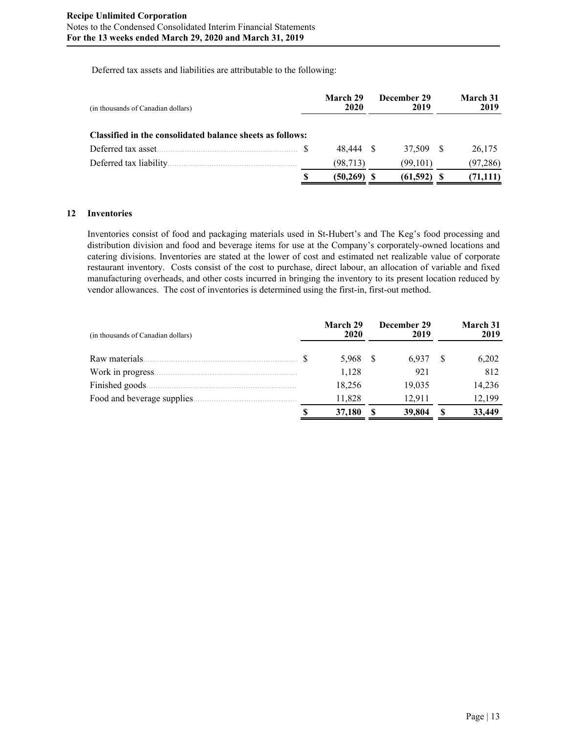Deferred tax assets and liabilities are attributable to the following:

| (in thousands of Canadian dollars)                        | March 29<br>2020 | December 29<br>2019 | March 31<br>2019 |
|-----------------------------------------------------------|------------------|---------------------|------------------|
| Classified in the consolidated balance sheets as follows: |                  |                     |                  |
|                                                           | 48.444           | 37.509 \$           | 26,175           |
| Deferred tax liability.                                   | (98, 713)        | (99.101)            | (97, 286)        |
|                                                           | (50,269)         | (61, 592)           | (71, 111)        |

## **12 Inventories**

Inventories consist of food and packaging materials used in St-Hubert's and The Keg's food processing and distribution division and food and beverage items for use at the Company's corporately-owned locations and catering divisions. Inventories are stated at the lower of cost and estimated net realizable value of corporate restaurant inventory. Costs consist of the cost to purchase, direct labour, an allocation of variable and fixed manufacturing overheads, and other costs incurred in bringing the inventory to its present location reduced by vendor allowances. The cost of inventories is determined using the first-in, first-out method.

| (in thousands of Canadian dollars) | March 29<br>2020 | December 29<br>2019 |   | March 31<br>2019 |
|------------------------------------|------------------|---------------------|---|------------------|
| Raw materials.                     | 5,968            | 6.937               | S | 6,202            |
| Work in progress.                  | 1,128            | 921                 |   | 812              |
| Finished goods.                    | 18,256           | 19,035              |   | 14,236           |
| Food and beverage supplies.        | 11,828           | 12.911              |   | 12,199           |
|                                    | 37,180           | 39,804              | S | 33,449           |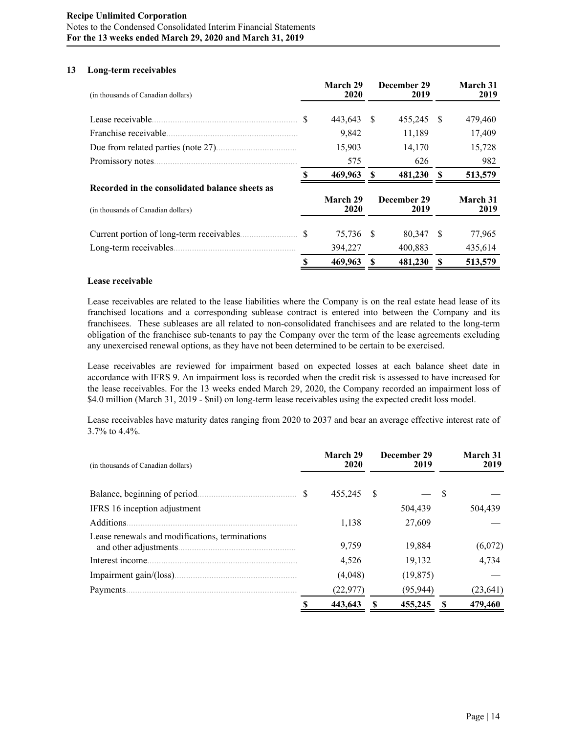## **13 Long**-**term receivables**

| (in thousands of Canadian dollars)             |               | March 29<br>2020 |     | December 29<br>2019 |              | March 31<br>2019 |
|------------------------------------------------|---------------|------------------|-----|---------------------|--------------|------------------|
| Lease receivable.                              | \$            | 443,643          | -S  | 455,245             | - S          | 479,460          |
| Franchise receivable.                          |               | 9,842            |     | 11,189              |              | 17,409           |
|                                                |               | 15,903           |     | 14,170              |              | 15,728           |
| Promissory notes                               |               | 575              |     | 626                 |              | 982              |
|                                                |               | 469,963          | -S  | 481,230             | $\mathbf{s}$ | 513,579          |
| Recorded in the consolidated balance sheets as |               |                  |     |                     |              |                  |
| (in thousands of Canadian dollars)             |               | March 29<br>2020 |     | December 29<br>2019 |              | March 31<br>2019 |
| Current portion of long-term receivables.      | <sup>\$</sup> | 75,736           | - S | 80,347              | -S           | 77,965           |
|                                                |               | 394,227          |     | 400,883             |              | 435,614          |
|                                                |               | 469,963          | -S  | 481,230             | -S           | 513,579          |

## **Lease receivable**

Lease receivables are related to the lease liabilities where the Company is on the real estate head lease of its franchised locations and a corresponding sublease contract is entered into between the Company and its franchisees. These subleases are all related to non-consolidated franchisees and are related to the long-term obligation of the franchisee sub-tenants to pay the Company over the term of the lease agreements excluding any unexercised renewal options, as they have not been determined to be certain to be exercised.

Lease receivables are reviewed for impairment based on expected losses at each balance sheet date in accordance with IFRS 9. An impairment loss is recorded when the credit risk is assessed to have increased for the lease receivables. For the 13 weeks ended March 29, 2020, the Company recorded an impairment loss of \$4.0 million (March 31, 2019 - \$nil) on long-term lease receivables using the expected credit loss model.

Lease receivables have maturity dates ranging from 2020 to 2037 and bear an average effective interest rate of 3.7% to 4.4%.

| (in thousands of Canadian dollars)             | March 29<br>2020 |   | December 29<br>2019 |   | March 31<br>2019 |
|------------------------------------------------|------------------|---|---------------------|---|------------------|
| Balance, beginning of period.                  | 455,245          | S |                     | S |                  |
| IFRS 16 inception adjustment                   |                  |   | 504,439             |   | 504,439          |
| Additions.                                     | 1.138            |   | 27,609              |   |                  |
| Lease renewals and modifications, terminations | 9,759            |   | 19,884              |   | (6,072)          |
| Interest income.                               | 4,526            |   | 19,132              |   | 4,734            |
| Impairment gain/(loss)                         | (4,048)          |   | (19, 875)           |   |                  |
|                                                | (22, 977)        |   | (95, 944)           |   | (23, 641)        |
|                                                | 443,643          |   | 455,245             | S | 479,460          |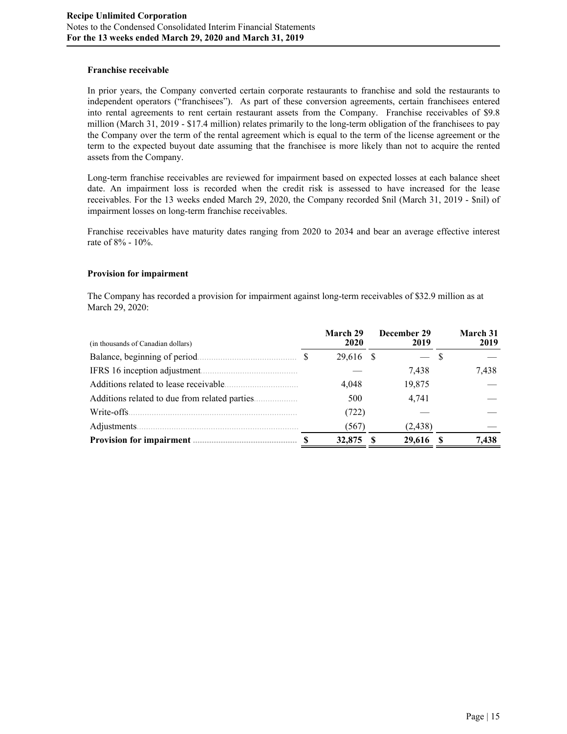## **Franchise receivable**

In prior years, the Company converted certain corporate restaurants to franchise and sold the restaurants to independent operators ("franchisees"). As part of these conversion agreements, certain franchisees entered into rental agreements to rent certain restaurant assets from the Company. Franchise receivables of \$9.8 million (March 31, 2019 - \$17.4 million) relates primarily to the long-term obligation of the franchisees to pay the Company over the term of the rental agreement which is equal to the term of the license agreement or the term to the expected buyout date assuming that the franchisee is more likely than not to acquire the rented assets from the Company.

Long-term franchise receivables are reviewed for impairment based on expected losses at each balance sheet date. An impairment loss is recorded when the credit risk is assessed to have increased for the lease receivables. For the 13 weeks ended March 29, 2020, the Company recorded \$nil (March 31, 2019 - \$nil) of impairment losses on long-term franchise receivables.

Franchise receivables have maturity dates ranging from 2020 to 2034 and bear an average effective interest rate of 8% - 10%.

## **Provision for impairment**

The Company has recorded a provision for impairment against long-term receivables of \$32.9 million as at March 29, 2020:

| (in thousands of Canadian dollars)                  | March 29<br>2020 |     | December 29<br>2019 | March 31<br>2019 |
|-----------------------------------------------------|------------------|-----|---------------------|------------------|
|                                                     | 29,616           | - S |                     |                  |
| IFRS 16 inception adjustment.                       |                  |     | 7.438               | 7.438            |
| Additions related to lease receivable.              | 4,048            |     | 19,875              |                  |
| Additions related to due from related parties.<br>. | 500              |     | 4,741               |                  |
| Write-offs.                                         | (722)            |     |                     |                  |
| Adjustments.                                        | (567)            |     | (2, 438)            |                  |
| <b>Provision for impairment.</b>                    | 32,875           |     | 29,616              | 7,438            |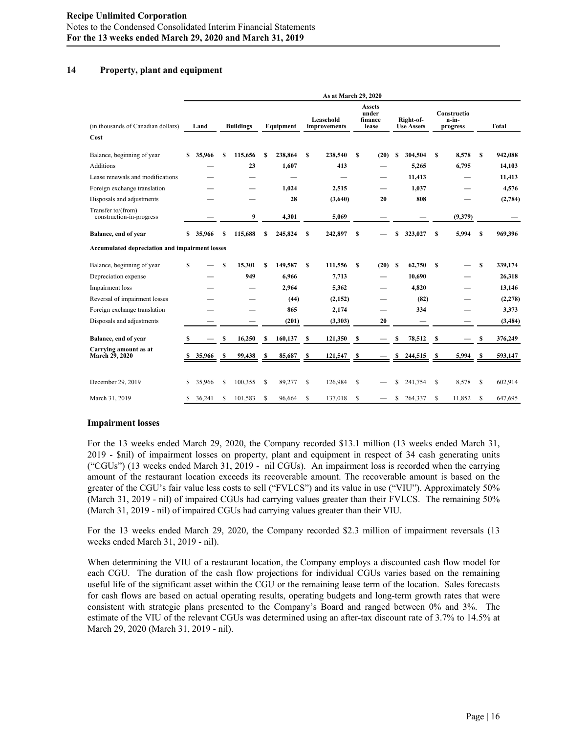# **14 Property, plant and equipment**

|                                                       |    | As at March 29, 2020 |    |                  |    |           |              |                           |               |                                            |    |                                |    |                                  |   |              |
|-------------------------------------------------------|----|----------------------|----|------------------|----|-----------|--------------|---------------------------|---------------|--------------------------------------------|----|--------------------------------|----|----------------------------------|---|--------------|
| (in thousands of Canadian dollars)<br>Cost            |    | Land                 |    | <b>Buildings</b> |    | Equipment |              | Leasehold<br>improvements |               | <b>Assets</b><br>under<br>finance<br>lease |    | Right-of-<br><b>Use Assets</b> |    | Constructio<br>n-in-<br>progress |   | <b>Total</b> |
| Balance, beginning of year                            | s  | 35,966               | S  | 115,656          | S  | 238,864   | S            | 238,540                   | s             | (20)                                       | s  | 304,504                        | S  | 8.578                            | S | 942,088      |
| <b>Additions</b>                                      |    |                      |    | 23               |    | 1,607     |              | 413                       |               |                                            |    | 5,265                          |    | 6,795                            |   | 14,103       |
| Lease renewals and modifications                      |    |                      |    |                  |    |           |              |                           |               |                                            |    | 11,413                         |    |                                  |   | 11,413       |
| Foreign exchange translation                          |    |                      |    |                  |    | 1,024     |              | 2,515                     |               |                                            |    | 1,037                          |    |                                  |   | 4,576        |
| Disposals and adjustments                             |    |                      |    |                  |    | 28        |              | (3,640)                   |               | 20                                         |    | 808                            |    |                                  |   | (2,784)      |
| Transfer to/(from)<br>construction-in-progress        |    |                      |    | 9                |    | 4,301     |              | 5,069                     |               |                                            |    |                                |    | (9,379)                          |   |              |
| Balance, end of year                                  | \$ | 35,966               | \$ | 115,688          | S  | 245,824   | s            | 242,897                   | S             |                                            | S  | 323,027                        | \$ | 5,994                            | s | 969,396      |
| <b>Accumulated depreciation and impairment losses</b> |    |                      |    |                  |    |           |              |                           |               |                                            |    |                                |    |                                  |   |              |
| Balance, beginning of year                            | \$ |                      | S  | 15,301           | S  | 149,587   | S            | 111,556                   | S             | (20)                                       | s  | 62,750                         | S  |                                  | s | 339,174      |
| Depreciation expense                                  |    |                      |    | 949              |    | 6,966     |              | 7,713                     |               |                                            |    | 10,690                         |    |                                  |   | 26,318       |
| Impairment loss                                       |    |                      |    |                  |    | 2,964     |              | 5,362                     |               |                                            |    | 4,820                          |    |                                  |   | 13,146       |
| Reversal of impairment losses                         |    |                      |    |                  |    | (44)      |              | (2,152)                   |               |                                            |    | (82)                           |    |                                  |   | (2,278)      |
| Foreign exchange translation                          |    |                      |    |                  |    | 865       |              | 2,174                     |               |                                            |    | 334                            |    |                                  |   | 3,373        |
| Disposals and adjustments                             |    |                      |    |                  |    | (201)     |              | (3,303)                   |               | 20                                         |    |                                |    |                                  |   | (3, 484)     |
| Balance, end of year                                  |    |                      | \$ | 16,250           | S  | 160,137   | s            | 121,350                   | \$            |                                            | \$ | 78,512                         | S  |                                  | S | 376,249      |
| Carrying amount as at<br><b>March 29, 2020</b>        | S  | 35,966               | S  | 99,438           | \$ | 85,687    | S            | 121,547                   | \$            |                                            | \$ | 244,515                        | S  | 5,994                            | S | 593,147      |
| December 29, 2019                                     | \$ | 35,966               | S  | 100,355          | S  | 89,277    | $\mathbb{S}$ | 126,984                   | <sup>\$</sup> |                                            | \$ | 241,754                        | \$ | 8,578                            | S | 602,914      |
| March 31, 2019                                        | \$ | 36.241               | S  | 101,583          | S  | 96,664    | S            | 137,018                   | S             |                                            | \$ | 264,337                        | S  | 11,852                           | S | 647,695      |

## **Impairment losses**

For the 13 weeks ended March 29, 2020, the Company recorded \$13.1 million (13 weeks ended March 31, 2019 - \$nil) of impairment losses on property, plant and equipment in respect of 34 cash generating units ("CGUs") (13 weeks ended March 31, 2019 - nil CGUs). An impairment loss is recorded when the carrying amount of the restaurant location exceeds its recoverable amount. The recoverable amount is based on the greater of the CGU's fair value less costs to sell ("FVLCS") and its value in use ("VIU"). Approximately 50% (March 31, 2019 - nil) of impaired CGUs had carrying values greater than their FVLCS. The remaining 50% (March 31, 2019 - nil) of impaired CGUs had carrying values greater than their VIU.

For the 13 weeks ended March 29, 2020, the Company recorded \$2.3 million of impairment reversals (13 weeks ended March 31, 2019 - nil).

When determining the VIU of a restaurant location, the Company employs a discounted cash flow model for each CGU. The duration of the cash flow projections for individual CGUs varies based on the remaining useful life of the significant asset within the CGU or the remaining lease term of the location. Sales forecasts for cash flows are based on actual operating results, operating budgets and long-term growth rates that were consistent with strategic plans presented to the Company's Board and ranged between 0% and 3%. The estimate of the VIU of the relevant CGUs was determined using an after-tax discount rate of 3.7% to 14.5% at March 29, 2020 (March 31, 2019 - nil).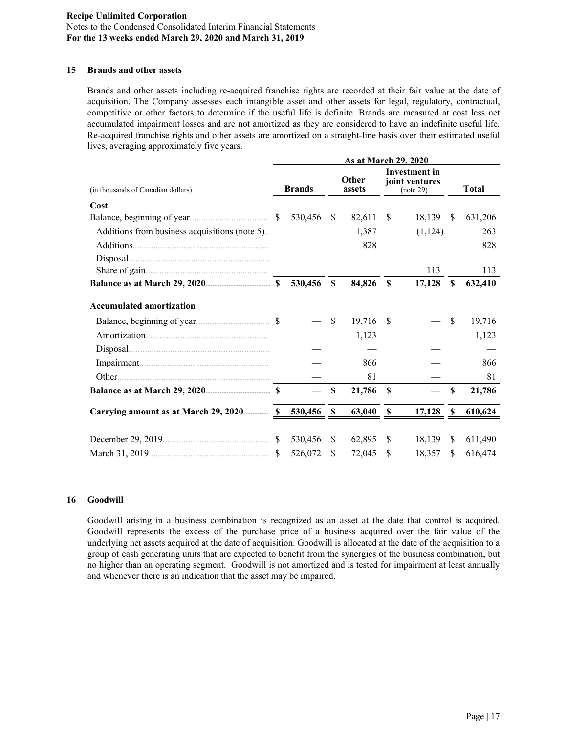### **15 Brands and other assets**

Brands and other assets including re-acquired franchise rights are recorded at their fair value at the date of acquisition. The Company assesses each intangible asset and other assets for legal, regulatory, contractual, competitive or other factors to determine if the useful life is definite. Brands are measured at cost less net accumulated impairment losses and are not amortized as they are considered to have an indefinite useful life. Re-acquired franchise rights and other assets are amortized on a straight-line basis over their estimated useful lives, averaging approximately five years.

|                                                |               |               |               | As at March 29, 2020 |                                              |          |    |              |
|------------------------------------------------|---------------|---------------|---------------|----------------------|----------------------------------------------|----------|----|--------------|
| (in thousands of Canadian dollars)             |               | <b>Brands</b> |               | Other<br>assets      | Investment in<br>joint ventures<br>(note 29) |          |    | <b>Total</b> |
| Cost                                           |               |               |               |                      |                                              |          |    |              |
|                                                | <sup>S</sup>  | 530,456       | <sup>S</sup>  | 82,611               | <sup>\$</sup>                                | 18,139   | \$ | 631,206      |
| Additions from business acquisitions (note 5). |               |               |               | 1,387                |                                              | (1, 124) |    | 263          |
| Additions                                      |               |               |               | 828                  |                                              |          |    | 828          |
| Disposal.                                      |               |               |               |                      |                                              |          |    |              |
|                                                |               |               |               |                      |                                              | 113      |    | 113          |
|                                                |               | 530,456       | <sup>\$</sup> | 84,826               | <b>S</b>                                     | 17,128   | \$ | 632,410      |
| <b>Accumulated amortization</b>                |               |               |               |                      |                                              |          |    |              |
|                                                |               |               | \$            | 19,716               | -\$                                          |          | \$ | 19,716       |
|                                                |               |               |               | 1,123                |                                              |          |    | 1,123        |
| Disposal                                       |               |               |               |                      |                                              |          |    |              |
|                                                |               |               |               | 866                  |                                              |          |    | 866          |
| Other.                                         |               |               |               | 81                   |                                              |          |    | 81           |
|                                                |               |               | \$            | 21,786               | <sup>\$</sup>                                |          | \$ | 21,786       |
| Carrying amount as at March 29, 2020 S         |               | 530,456       | \$            | 63,040               | $\mathbf{s}$                                 | 17,128   | -S | 610,624      |
|                                                | <sup>\$</sup> | 530,456       | <sup>\$</sup> | 62,895               | <sup>\$</sup>                                | 18,139   | \$ | 611,490      |
|                                                |               | 526,072       | S             | 72,045               | \$                                           | 18,357   | \$ | 616,474      |

## **16 Goodwill**

Goodwill arising in a business combination is recognized as an asset at the date that control is acquired. Goodwill represents the excess of the purchase price of a business acquired over the fair value of the underlying net assets acquired at the date of acquisition. Goodwill is allocated at the date of the acquisition to a group of cash generating units that are expected to benefit from the synergies of the business combination, but no higher than an operating segment. Goodwill is not amortized and is tested for impairment at least annually and whenever there is an indication that the asset may be impaired.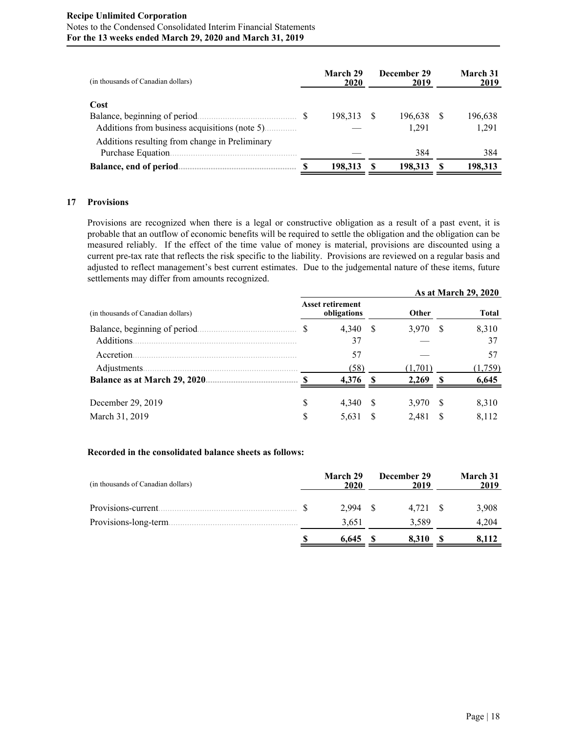## **Recipe Unlimited Corporation** Notes to the Condensed Consolidated Interim Financial Statements **For the 13 weeks ended March 29, 2020 and March 31, 2019**

| (in thousands of Canadian dollars)                                                     | March 29<br>2020 | December 29<br>2019 |     | March 31<br>2019 |
|----------------------------------------------------------------------------------------|------------------|---------------------|-----|------------------|
| Cost<br>Balance, beginning of period.<br>Additions from business acquisitions (note 5) | 198.313          | 196.638<br>1.291    | \$. | 196.638<br>1,291 |
| Additions resulting from change in Preliminary<br>Purchase Equation.                   |                  | 384                 |     | 384              |
| Balance, end of period.                                                                | 198,313          | 198.313             |     | 198.313          |

## **17 Provisions**

Provisions are recognized when there is a legal or constructive obligation as a result of a past event, it is probable that an outflow of economic benefits will be required to settle the obligation and the obligation can be measured reliably. If the effect of the time value of money is material, provisions are discounted using a current pre-tax rate that reflects the risk specific to the liability. Provisions are reviewed on a regular basis and adjusted to reflect management's best current estimates. Due to the judgemental nature of these items, future settlements may differ from amounts recognized.

|                                    | As at March 29, 2020 |                                        |    |         |    |              |  |  |  |  |
|------------------------------------|----------------------|----------------------------------------|----|---------|----|--------------|--|--|--|--|
| (in thousands of Canadian dollars) |                      | <b>Asset retirement</b><br>obligations |    | Other   |    | <b>Total</b> |  |  |  |  |
| Balance, beginning of period.      | S                    | 4,340                                  | -S | 3,970   | -S | 8,310        |  |  |  |  |
| Additions.                         |                      | 37                                     |    |         |    | 37           |  |  |  |  |
| Accretion.                         |                      | 57                                     |    |         |    | 57           |  |  |  |  |
| Adjustments.                       |                      | (58)                                   |    | (1.701) |    | (1,759)      |  |  |  |  |
| Balance as at March 29, 2020.      |                      | 4,376                                  | -S | 2,269   | Я  | 6,645        |  |  |  |  |
| December 29, 2019                  | S                    | 4.340                                  | -S | 3,970   | -S | 8,310        |  |  |  |  |
|                                    |                      |                                        |    |         |    |              |  |  |  |  |
| March 31, 2019                     | S                    | 5.631                                  |    | 2,481   | S. | 8.112        |  |  |  |  |

## **Recorded in the consolidated balance sheets as follows:**

| (in thousands of Canadian dollars) | March 29<br>2020 | December 29<br>2019 |      | March 31<br>2019 |
|------------------------------------|------------------|---------------------|------|------------------|
| Provisions-current.                | 2.994            | 4.721               | - \$ | 3,908            |
| Provisions-long-term.              | 3,651            | 3.589               |      | 4.204            |
|                                    | 6.645            | 8.310               |      | 8.112            |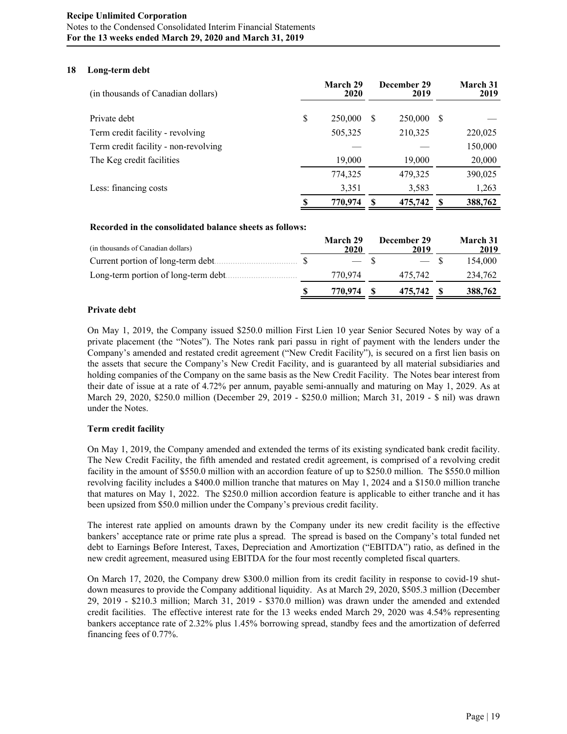## **18 Long-term debt**

| (in thousands of Canadian dollars)   |    | March 29<br>2020 |   | December 29<br>2019 |    | March 31<br>2019 |
|--------------------------------------|----|------------------|---|---------------------|----|------------------|
| Private debt                         | \$ | 250,000          | S | 250,000             | -S |                  |
| Term credit facility - revolving     |    | 505,325          |   | 210,325             |    | 220,025          |
| Term credit facility - non-revolving |    |                  |   |                     |    | 150,000          |
| The Keg credit facilities            |    | 19,000           |   | 19,000              |    | 20,000           |
|                                      |    | 774,325          |   | 479,325             |    | 390,025          |
| Less: financing costs                |    | 3,351            |   | 3,583               |    | 1,263            |
|                                      | S  | 770,974          |   | 475,742             |    | 388,762          |

## **Recorded in the consolidated balance sheets as follows:**

| (in thousands of Canadian dollars)   | March 29<br>2020 | December 29<br>2019 | <b>March 31</b><br>2019 |
|--------------------------------------|------------------|---------------------|-------------------------|
| Current portion of long-term debt.   | $\sim$ $\sim$    |                     | 154.000                 |
| Long-term portion of long-term debt. | 770.974          | 475.742             | 234,762                 |
|                                      | 770.974          | 475,742             | 388,762                 |

## **Private debt**

On May 1, 2019, the Company issued \$250.0 million First Lien 10 year Senior Secured Notes by way of a private placement (the "Notes"). The Notes rank pari passu in right of payment with the lenders under the Company's amended and restated credit agreement ("New Credit Facility"), is secured on a first lien basis on the assets that secure the Company's New Credit Facility, and is guaranteed by all material subsidiaries and holding companies of the Company on the same basis as the New Credit Facility. The Notes bear interest from their date of issue at a rate of 4.72% per annum, payable semi-annually and maturing on May 1, 2029. As at March 29, 2020, \$250.0 million (December 29, 2019 - \$250.0 million; March 31, 2019 - \$ nil) was drawn under the Notes.

## **Term credit facility**

On May 1, 2019, the Company amended and extended the terms of its existing syndicated bank credit facility. The New Credit Facility, the fifth amended and restated credit agreement, is comprised of a revolving credit facility in the amount of \$550.0 million with an accordion feature of up to \$250.0 million. The \$550.0 million revolving facility includes a \$400.0 million tranche that matures on May 1, 2024 and a \$150.0 million tranche that matures on May 1, 2022. The \$250.0 million accordion feature is applicable to either tranche and it has been upsized from \$50.0 million under the Company's previous credit facility.

The interest rate applied on amounts drawn by the Company under its new credit facility is the effective bankers' acceptance rate or prime rate plus a spread. The spread is based on the Company's total funded net debt to Earnings Before Interest, Taxes, Depreciation and Amortization ("EBITDA") ratio, as defined in the new credit agreement, measured using EBITDA for the four most recently completed fiscal quarters.

On March 17, 2020, the Company drew \$300.0 million from its credit facility in response to covid-19 shutdown measures to provide the Company additional liquidity. As at March 29, 2020, \$505.3 million (December 29, 2019 - \$210.3 million; March 31, 2019 - \$370.0 million) was drawn under the amended and extended credit facilities. The effective interest rate for the 13 weeks ended March 29, 2020 was 4.54% representing bankers acceptance rate of 2.32% plus 1.45% borrowing spread, standby fees and the amortization of deferred financing fees of 0.77%.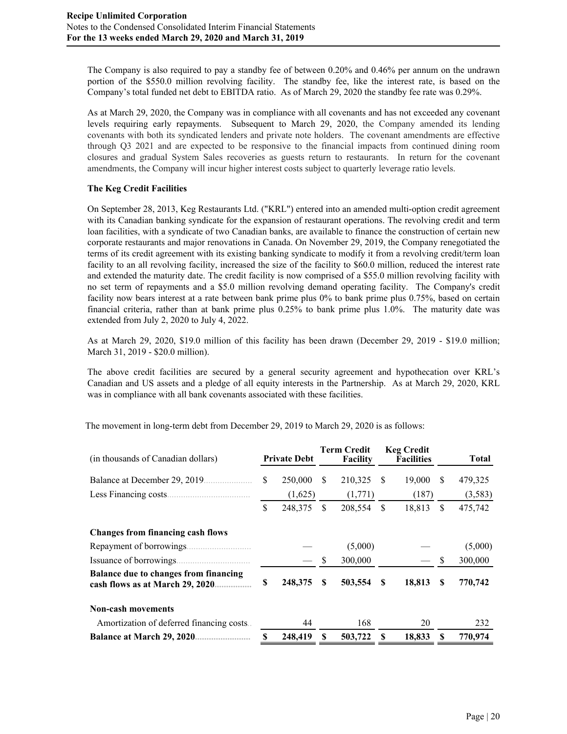The Company is also required to pay a standby fee of between 0.20% and 0.46% per annum on the undrawn portion of the \$550.0 million revolving facility. The standby fee, like the interest rate, is based on the Company's total funded net debt to EBITDA ratio. As of March 29, 2020 the standby fee rate was 0.29%.

As at March 29, 2020, the Company was in compliance with all covenants and has not exceeded any covenant levels requiring early repayments. Subsequent to March 29, 2020, the Company amended its lending covenants with both its syndicated lenders and private note holders. The covenant amendments are effective through Q3 2021 and are expected to be responsive to the financial impacts from continued dining room closures and gradual System Sales recoveries as guests return to restaurants. In return for the covenant amendments, the Company will incur higher interest costs subject to quarterly leverage ratio levels.

# **The Keg Credit Facilities**

On September 28, 2013, Keg Restaurants Ltd. ("KRL") entered into an amended multi-option credit agreement with its Canadian banking syndicate for the expansion of restaurant operations. The revolving credit and term loan facilities, with a syndicate of two Canadian banks, are available to finance the construction of certain new corporate restaurants and major renovations in Canada. On November 29, 2019, the Company renegotiated the terms of its credit agreement with its existing banking syndicate to modify it from a revolving credit/term loan facility to an all revolving facility, increased the size of the facility to \$60.0 million, reduced the interest rate and extended the maturity date. The credit facility is now comprised of a \$55.0 million revolving facility with no set term of repayments and a \$5.0 million revolving demand operating facility. The Company's credit facility now bears interest at a rate between bank prime plus 0% to bank prime plus 0.75%, based on certain financial criteria, rather than at bank prime plus 0.25% to bank prime plus 1.0%. The maturity date was extended from July 2, 2020 to July 4, 2022.

As at March 29, 2020, \$19.0 million of this facility has been drawn (December 29, 2019 - \$19.0 million; March 31, 2019 - \$20.0 million).

The above credit facilities are secured by a general security agreement and hypothecation over KRL's Canadian and US assets and a pledge of all equity interests in the Partnership. As at March 29, 2020, KRL was in compliance with all bank covenants associated with these facilities.

| (in thousands of Canadian dollars)                                              |    | <b>Private Debt</b> |          | Term Credit<br>Facility |   | <b>Keg Credit</b><br><b>Facilities</b> |    | Total   |
|---------------------------------------------------------------------------------|----|---------------------|----------|-------------------------|---|----------------------------------------|----|---------|
| Balance at December 29, 2019.                                                   | \$ | 250,000             | S        | 210,325                 | S | 19,000                                 | S  | 479,325 |
| Less Financing costs.                                                           |    | (1,625)             |          | (1,771)                 |   | (187)                                  |    | (3,583) |
|                                                                                 | \$ | 248,375             | \$       | 208,554 \$              |   | 18,813                                 | \$ | 475,742 |
| <b>Changes from financing cash flows</b>                                        |    |                     |          |                         |   |                                        |    |         |
| Repayment of borrowings.                                                        |    |                     |          | (5,000)                 |   |                                        |    | (5,000) |
| Issuance of borrowings.                                                         |    |                     | <b>S</b> | 300,000                 |   |                                        | S  | 300,000 |
| <b>Balance due to changes from financing</b><br>cash flows as at March 29, 2020 | S  | 248,375             | \$.      | 503,554                 | S | 18,813                                 | S  | 770,742 |
| <b>Non-cash movements</b>                                                       |    |                     |          |                         |   |                                        |    |         |
| Amortization of deferred financing costs.                                       |    | 44                  |          | 168                     |   | 20                                     |    | 232     |
| <b>Balance at March 29, 2020</b>                                                | S  | 248,419             | S        | 503,722                 | S | 18,833                                 |    | 770.974 |

The movement in long-term debt from December 29, 2019 to March 29, 2020 is as follows: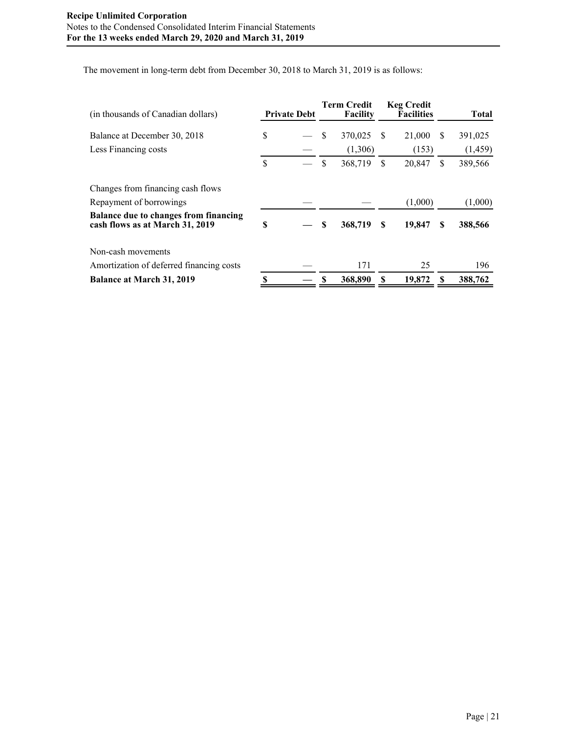The movement in long-term debt from December 30, 2018 to March 31, 2019 is as follows:

| (in thousands of Canadian dollars)                                              | <b>Private Debt</b> |    | <b>Term Credit</b><br><b>Facility</b> |   | <b>Keg Credit</b><br><b>Facilities</b> |   | <b>Total</b> |
|---------------------------------------------------------------------------------|---------------------|----|---------------------------------------|---|----------------------------------------|---|--------------|
| Balance at December 30, 2018                                                    | \$                  | S  | 370,025                               | S | 21,000                                 | S | 391,025      |
| Less Financing costs                                                            |                     |    | (1,306)                               |   | (153)                                  |   | (1, 459)     |
|                                                                                 | \$                  | \$ | 368,719                               | S | 20,847                                 | S | 389,566      |
| Changes from financing cash flows                                               |                     |    |                                       |   |                                        |   |              |
| Repayment of borrowings                                                         |                     |    |                                       |   | (1,000)                                |   | (1,000)      |
| <b>Balance due to changes from financing</b><br>cash flows as at March 31, 2019 | \$                  | S  | 368,719                               | S | 19,847                                 | S | 388,566      |
| Non-cash movements                                                              |                     |    |                                       |   |                                        |   |              |
| Amortization of deferred financing costs                                        |                     |    | 171                                   |   | 25                                     |   | 196          |
| <b>Balance at March 31, 2019</b>                                                |                     |    | 368,890                               | S | 19,872                                 |   | 388,762      |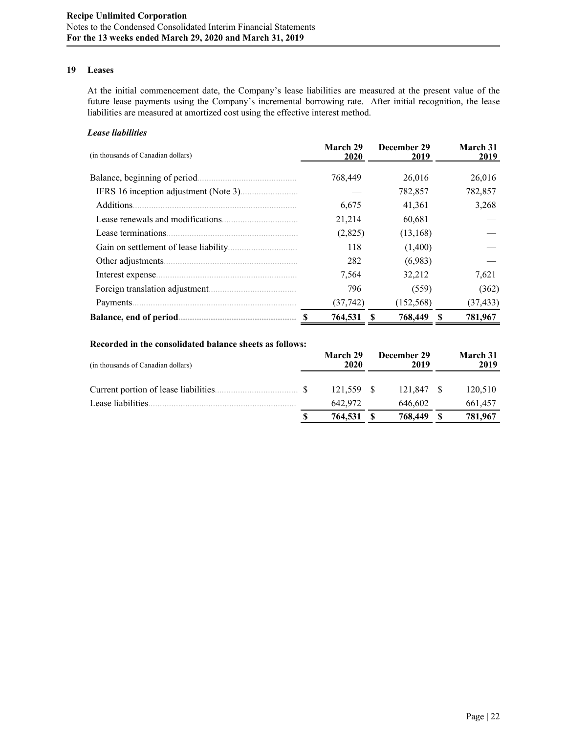# **19 Leases**

At the initial commencement date, the Company's lease liabilities are measured at the present value of the future lease payments using the Company's incremental borrowing rate. After initial recognition, the lease liabilities are measured at amortized cost using the effective interest method.

## *Lease liabilities*

| (in thousands of Canadian dollars) | March 29<br>2020 | December 29<br>2019 | March 31<br>2019 |
|------------------------------------|------------------|---------------------|------------------|
| Balance, beginning of period.      | 768,449          | 26,016              | 26,016           |
|                                    |                  | 782,857             | 782,857          |
| Additions.                         | 6,675            | 41,361              | 3,268            |
| Lease renewals and modifications.  | 21,214           | 60,681              |                  |
| Lease terminations.                | (2,825)          | (13, 168)           |                  |
|                                    | 118              | (1,400)             |                  |
|                                    | 282              | (6,983)             |                  |
| Interest expense                   | 7,564            | 32,212              | 7,621            |
|                                    | 796              | (559)               | (362)            |
| Payments.                          | (37, 742)        | (152, 568)          | (37, 433)        |
| Balance, end of period             | 764,531          | 768,449             | 781,967          |

## **Recorded in the consolidated balance sheets as follows:**

| March 29<br>2020 | 2019       |             | March 31<br>2019 |
|------------------|------------|-------------|------------------|
|                  | 121.847    |             | 120,510          |
| 642.972          | 646,602    |             | 661,457          |
| 764,531          | 768,449    |             | 781,967          |
|                  | 121.559 \$ | December 29 | - \$             |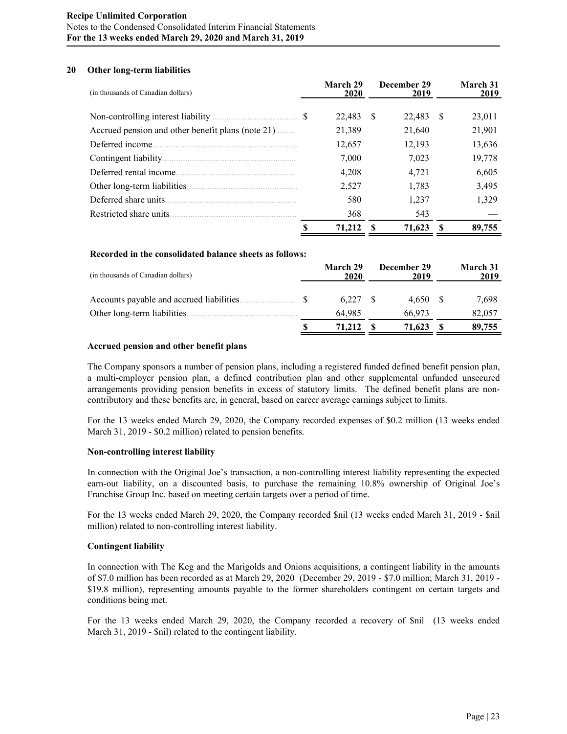## **Recipe Unlimited Corporation** Notes to the Condensed Consolidated Interim Financial Statements **For the 13 weeks ended March 29, 2020 and March 31, 2019**

## **20 Other long-term liabilities**

| (in thousands of Canadian dollars)                | March 29<br>2020 |    | December 29<br>2019 |    | March 31<br>2019 |
|---------------------------------------------------|------------------|----|---------------------|----|------------------|
|                                                   | 22,483           | -S | 22,483              | -S | 23,011           |
| Accrued pension and other benefit plans (note 21) | 21,389           |    | 21,640              |    | 21,901           |
| Deferred income.                                  | 12,657           |    | 12,193              |    | 13,636           |
|                                                   | 7,000            |    | 7,023               |    | 19,778           |
|                                                   | 4,208            |    | 4.721               |    | 6,605            |
|                                                   | 2.527            |    | 1,783               |    | 3,495            |
| Deferred share units.                             | 580              |    | 1,237               |    | 1,329            |
| Restricted share units                            | 368              |    | 543                 |    |                  |
|                                                   | 71,212           | -S | 71,623              | -8 | 89,755           |

#### **Recorded in the consolidated balance sheets as follows:**

| (in thousands of Canadian dollars)        | March 29<br>2020 | December 29<br>2019 | March 31<br>2019 |
|-------------------------------------------|------------------|---------------------|------------------|
| Accounts payable and accrued liabilities. | 6.227            | 4.650               | 7,698            |
| Other long-term liabilities.              | 64.985           | 66.973              | 82,057           |
|                                           | 71.212           | 71,623              | 89,755           |

#### **Accrued pension and other benefit plans**

The Company sponsors a number of pension plans, including a registered funded defined benefit pension plan, a multi-employer pension plan, a defined contribution plan and other supplemental unfunded unsecured arrangements providing pension benefits in excess of statutory limits. The defined benefit plans are noncontributory and these benefits are, in general, based on career average earnings subject to limits.

For the 13 weeks ended March 29, 2020, the Company recorded expenses of \$0.2 million (13 weeks ended March 31, 2019 - \$0.2 million) related to pension benefits.

#### **Non-controlling interest liability**

In connection with the Original Joe's transaction, a non-controlling interest liability representing the expected earn-out liability, on a discounted basis, to purchase the remaining 10.8% ownership of Original Joe's Franchise Group Inc. based on meeting certain targets over a period of time.

For the 13 weeks ended March 29, 2020, the Company recorded \$nil (13 weeks ended March 31, 2019 - \$nil million) related to non-controlling interest liability.

#### **Contingent liability**

In connection with The Keg and the Marigolds and Onions acquisitions, a contingent liability in the amounts of \$7.0 million has been recorded as at March 29, 2020 (December 29, 2019 - \$7.0 million; March 31, 2019 - \$19.8 million), representing amounts payable to the former shareholders contingent on certain targets and conditions being met.

For the 13 weeks ended March 29, 2020, the Company recorded a recovery of \$nil (13 weeks ended March 31, 2019 - \$nil) related to the contingent liability.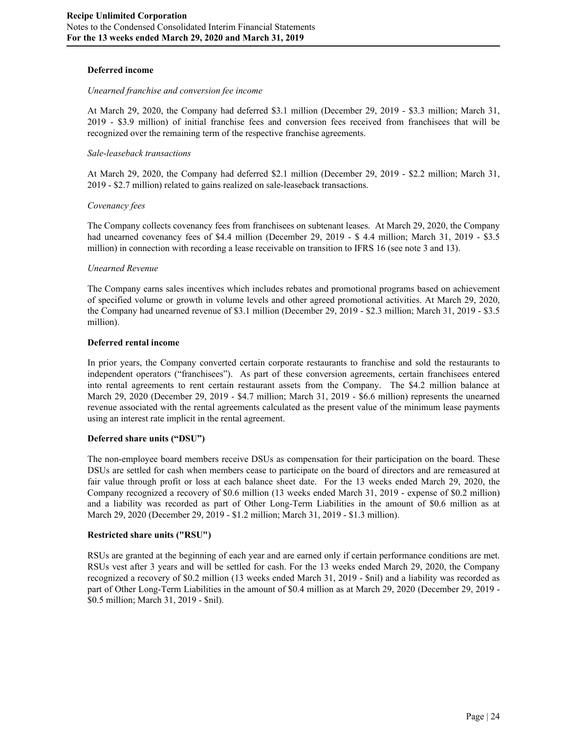## **Deferred income**

#### *Unearned franchise and conversion fee income*

At March 29, 2020, the Company had deferred \$3.1 million (December 29, 2019 - \$3.3 million; March 31, 2019 - \$3.9 million) of initial franchise fees and conversion fees received from franchisees that will be recognized over the remaining term of the respective franchise agreements.

#### *Sale-leaseback transactions*

At March 29, 2020, the Company had deferred \$2.1 million (December 29, 2019 - \$2.2 million; March 31, 2019 - \$2.7 million) related to gains realized on sale-leaseback transactions.

#### *Covenancy fees*

The Company collects covenancy fees from franchisees on subtenant leases. At March 29, 2020, the Company had unearned covenancy fees of \$4.4 million (December 29, 2019 - \$4.4 million; March 31, 2019 - \$3.5 million) in connection with recording a lease receivable on transition to IFRS 16 (see note 3 and 13).

#### *Unearned Revenue*

The Company earns sales incentives which includes rebates and promotional programs based on achievement of specified volume or growth in volume levels and other agreed promotional activities. At March 29, 2020, the Company had unearned revenue of \$3.1 million (December 29, 2019 - \$2.3 million; March 31, 2019 - \$3.5 million).

#### **Deferred rental income**

In prior years, the Company converted certain corporate restaurants to franchise and sold the restaurants to independent operators ("franchisees"). As part of these conversion agreements, certain franchisees entered into rental agreements to rent certain restaurant assets from the Company. The \$4.2 million balance at March 29, 2020 (December 29, 2019 - \$4.7 million; March 31, 2019 - \$6.6 million) represents the unearned revenue associated with the rental agreements calculated as the present value of the minimum lease payments using an interest rate implicit in the rental agreement.

#### **Deferred share units ("DSU")**

The non-employee board members receive DSUs as compensation for their participation on the board. These DSUs are settled for cash when members cease to participate on the board of directors and are remeasured at fair value through profit or loss at each balance sheet date. For the 13 weeks ended March 29, 2020, the Company recognized a recovery of \$0.6 million (13 weeks ended March 31, 2019 - expense of \$0.2 million) and a liability was recorded as part of Other Long-Term Liabilities in the amount of \$0.6 million as at March 29, 2020 (December 29, 2019 - \$1.2 million; March 31, 2019 - \$1.3 million).

#### **Restricted share units ("RSU")**

RSUs are granted at the beginning of each year and are earned only if certain performance conditions are met. RSUs vest after 3 years and will be settled for cash. For the 13 weeks ended March 29, 2020, the Company recognized a recovery of \$0.2 million (13 weeks ended March 31, 2019 - \$nil) and a liability was recorded as part of Other Long-Term Liabilities in the amount of \$0.4 million as at March 29, 2020 (December 29, 2019 - \$0.5 million; March 31, 2019 - \$nil).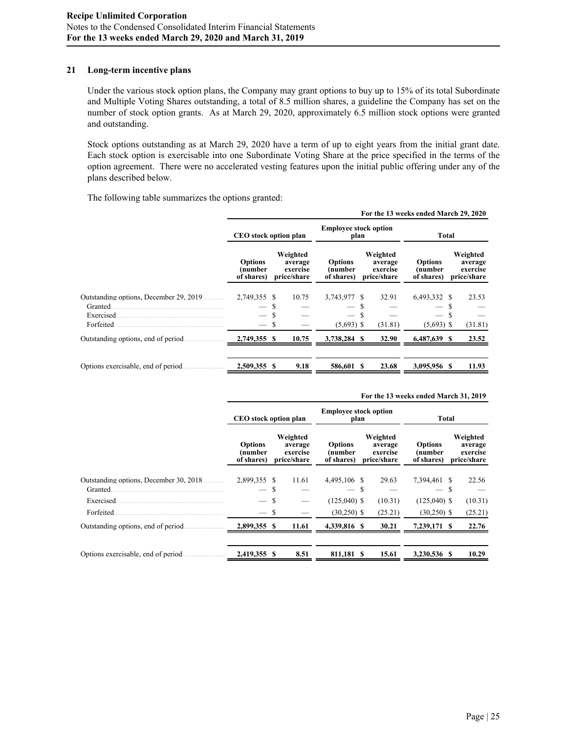## **21 Long-term incentive plans**

Under the various stock option plans, the Company may grant options to buy up to 15% of its total Subordinate and Multiple Voting Shares outstanding, a total of 8.5 million shares, a guideline the Company has set on the number of stock option grants. As at March 29, 2020, approximately 6.5 million stock options were granted and outstanding.

Stock options outstanding as at March 29, 2020 have a term of up to eight years from the initial grant date. Each stock option is exercisable into one Subordinate Voting Share at the price specified in the terms of the option agreement. There were no accelerated vesting features upon the initial public offering under any of the plans described below.

The following table summarizes the options granted:

|                                                                                 |                                         |             |                                                |                                                          |              |                                                | For the 13 weeks ended March 29, 2020   |        |                                                |
|---------------------------------------------------------------------------------|-----------------------------------------|-------------|------------------------------------------------|----------------------------------------------------------|--------------|------------------------------------------------|-----------------------------------------|--------|------------------------------------------------|
|                                                                                 | CEO stock option plan                   |             | <b>Employee stock option</b><br>plan           |                                                          | <b>Total</b> |                                                |                                         |        |                                                |
|                                                                                 | <b>Options</b><br>(number<br>of shares) |             | Weighted<br>average<br>exercise<br>price/share | <b>Options</b><br>(number<br>of shares)                  |              | Weighted<br>average<br>exercise<br>price/share | <b>Options</b><br>(number<br>of shares) |        | Weighted<br>average<br>exercise<br>price/share |
| Outstanding options. December 29, 2019.<br>Granted.<br>Exercised.<br>Forfeited. | 2.749,355 \$                            | S<br>S<br>S | 10.75                                          | 3.743,977 \$<br>$\overline{\phantom{m}}$<br>$(5,693)$ \$ | S<br>S       | 32.91<br>(31.81)                               | 6.493.332 \$<br>$(5,693)$ \$            | S<br>S | 23.53<br>(31.81)                               |
| Outstanding options, end of period.                                             | 2,749,355                               | -8          | 10.75                                          | 3,738,284 \$                                             |              | 32.90                                          | 6,487,639 \$                            |        | 23.52                                          |
| Options exercisable, end of period.                                             | 2,509,355                               | -8          | 9.18                                           | 586,601 \$                                               |              | 23.68                                          | 3,095,956 \$                            |        | 11.93                                          |

|                                                     | For the 15 weeks ended march 51, 2017    |                                                |                                         |                                                |                                         |                                                |  |  |  |  |
|-----------------------------------------------------|------------------------------------------|------------------------------------------------|-----------------------------------------|------------------------------------------------|-----------------------------------------|------------------------------------------------|--|--|--|--|
|                                                     | CEO stock option plan                    |                                                | <b>Employee stock option</b><br>plan    |                                                | Total                                   |                                                |  |  |  |  |
|                                                     | <b>Options</b><br>(number<br>of shares)  | Weighted<br>average<br>exercise<br>price/share | <b>Options</b><br>(number<br>of shares) | Weighted<br>average<br>exercise<br>price/share | <b>Options</b><br>(number<br>of shares) | Weighted<br>average<br>exercise<br>price/share |  |  |  |  |
| Outstanding options. December 30, 2018.<br>Granted. | 2.899.355 \$<br>$\overline{\phantom{0}}$ | 11.61<br>S                                     | 4.495.106 \$                            | 29.63<br>-S                                    | 7.394.461 \$                            | 22.56<br>-S                                    |  |  |  |  |
| Exercised.<br>Forfeited.                            |                                          | S<br>\$                                        | $(125,040)$ \$<br>$(30,250)$ \$         | (10.31)<br>(25.21)                             | $(125,040)$ \$<br>$(30,250)$ \$         | (10.31)<br>(25.21)                             |  |  |  |  |
| Outstanding options, end of period.                 | 2,899,355 \$                             | 11.61                                          | 4,339,816 \$                            | 30.21                                          | 7,239,171 \$                            | 22.76                                          |  |  |  |  |
| Options exercisable, end of period.                 | 2,419,355 \$                             | 8.51                                           | 811,181 \$                              | 15.61                                          | 3,230,536 \$                            | 10.29                                          |  |  |  |  |

#### **For the 13 weeks ended March 31, 2019**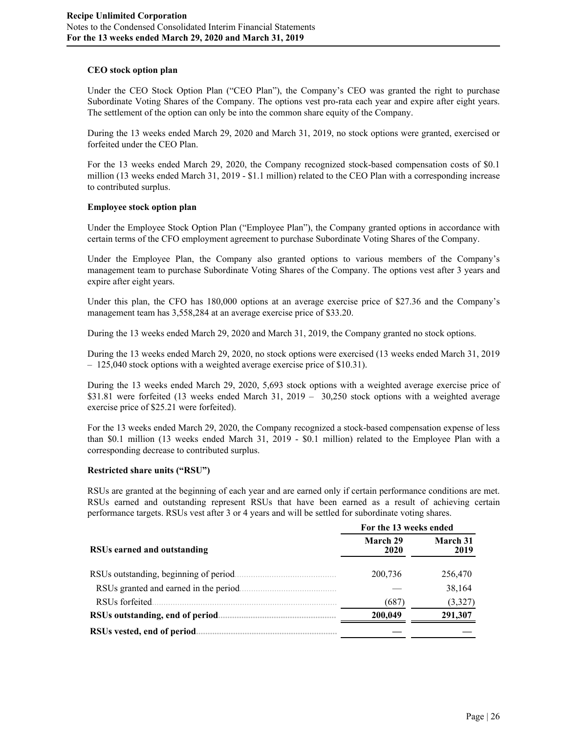## **CEO stock option plan**

Under the CEO Stock Option Plan ("CEO Plan"), the Company's CEO was granted the right to purchase Subordinate Voting Shares of the Company. The options vest pro-rata each year and expire after eight years. The settlement of the option can only be into the common share equity of the Company.

During the 13 weeks ended March 29, 2020 and March 31, 2019, no stock options were granted, exercised or forfeited under the CEO Plan.

For the 13 weeks ended March 29, 2020, the Company recognized stock-based compensation costs of \$0.1 million (13 weeks ended March 31, 2019 - \$1.1 million) related to the CEO Plan with a corresponding increase to contributed surplus.

## **Employee stock option plan**

Under the Employee Stock Option Plan ("Employee Plan"), the Company granted options in accordance with certain terms of the CFO employment agreement to purchase Subordinate Voting Shares of the Company.

Under the Employee Plan, the Company also granted options to various members of the Company's management team to purchase Subordinate Voting Shares of the Company. The options vest after 3 years and expire after eight years.

Under this plan, the CFO has 180,000 options at an average exercise price of \$27.36 and the Company's management team has 3,558,284 at an average exercise price of \$33.20.

During the 13 weeks ended March 29, 2020 and March 31, 2019, the Company granted no stock options.

During the 13 weeks ended March 29, 2020, no stock options were exercised (13 weeks ended March 31, 2019 – 125,040 stock options with a weighted average exercise price of \$10.31).

During the 13 weeks ended March 29, 2020, 5,693 stock options with a weighted average exercise price of \$31.81 were forfeited (13 weeks ended March 31, 2019 – 30,250 stock options with a weighted average exercise price of \$25.21 were forfeited).

For the 13 weeks ended March 29, 2020, the Company recognized a stock-based compensation expense of less than \$0.1 million (13 weeks ended March 31, 2019 - \$0.1 million) related to the Employee Plan with a corresponding decrease to contributed surplus.

#### **Restricted share units ("RSU")**

RSUs are granted at the beginning of each year and are earned only if certain performance conditions are met. RSUs earned and outstanding represent RSUs that have been earned as a result of achieving certain performance targets. RSUs vest after 3 or 4 years and will be settled for subordinate voting shares.

|                                        | For the 13 weeks ended |                  |  |  |  |  |
|----------------------------------------|------------------------|------------------|--|--|--|--|
| RSUs earned and outstanding            | March 29<br>2020       | March 31<br>2019 |  |  |  |  |
| RSUs outstanding, beginning of period. | 200,736                | 256,470          |  |  |  |  |
| RSUs granted and earned in the period. |                        | 38,164           |  |  |  |  |
| RSU <sub>s</sub> forfeited             | (687)                  | (3,327)          |  |  |  |  |
| RSUs outstanding, end of period.       | 200,049                | 291,307          |  |  |  |  |
| RSUs vested, end of period.            |                        |                  |  |  |  |  |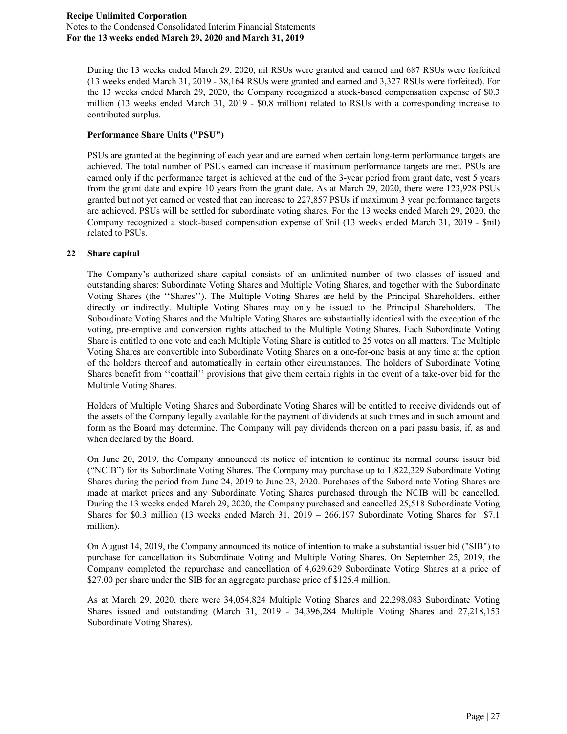During the 13 weeks ended March 29, 2020, nil RSUs were granted and earned and 687 RSUs were forfeited (13 weeks ended March 31, 2019 - 38,164 RSUs were granted and earned and 3,327 RSUs were forfeited). For the 13 weeks ended March 29, 2020, the Company recognized a stock-based compensation expense of \$0.3 million (13 weeks ended March 31, 2019 - \$0.8 million) related to RSUs with a corresponding increase to contributed surplus.

# **Performance Share Units ("PSU")**

PSUs are granted at the beginning of each year and are earned when certain long-term performance targets are achieved. The total number of PSUs earned can increase if maximum performance targets are met. PSUs are earned only if the performance target is achieved at the end of the 3-year period from grant date, vest 5 years from the grant date and expire 10 years from the grant date. As at March 29, 2020, there were 123,928 PSUs granted but not yet earned or vested that can increase to 227,857 PSUs if maximum 3 year performance targets are achieved. PSUs will be settled for subordinate voting shares. For the 13 weeks ended March 29, 2020, the Company recognized a stock-based compensation expense of \$nil (13 weeks ended March 31, 2019 - \$nil) related to PSUs.

## **22 Share capital**

The Company's authorized share capital consists of an unlimited number of two classes of issued and outstanding shares: Subordinate Voting Shares and Multiple Voting Shares, and together with the Subordinate Voting Shares (the ''Shares''). The Multiple Voting Shares are held by the Principal Shareholders, either directly or indirectly. Multiple Voting Shares may only be issued to the Principal Shareholders. The Subordinate Voting Shares and the Multiple Voting Shares are substantially identical with the exception of the voting, pre-emptive and conversion rights attached to the Multiple Voting Shares. Each Subordinate Voting Share is entitled to one vote and each Multiple Voting Share is entitled to 25 votes on all matters. The Multiple Voting Shares are convertible into Subordinate Voting Shares on a one-for-one basis at any time at the option of the holders thereof and automatically in certain other circumstances. The holders of Subordinate Voting Shares benefit from ''coattail'' provisions that give them certain rights in the event of a take-over bid for the Multiple Voting Shares.

Holders of Multiple Voting Shares and Subordinate Voting Shares will be entitled to receive dividends out of the assets of the Company legally available for the payment of dividends at such times and in such amount and form as the Board may determine. The Company will pay dividends thereon on a pari passu basis, if, as and when declared by the Board.

On June 20, 2019, the Company announced its notice of intention to continue its normal course issuer bid ("NCIB") for its Subordinate Voting Shares. The Company may purchase up to 1,822,329 Subordinate Voting Shares during the period from June 24, 2019 to June 23, 2020. Purchases of the Subordinate Voting Shares are made at market prices and any Subordinate Voting Shares purchased through the NCIB will be cancelled. During the 13 weeks ended March 29, 2020, the Company purchased and cancelled 25,518 Subordinate Voting Shares for \$0.3 million (13 weeks ended March 31, 2019 – 266,197 Subordinate Voting Shares for \$7.1 million).

On August 14, 2019, the Company announced its notice of intention to make a substantial issuer bid ("SIB") to purchase for cancellation its Subordinate Voting and Multiple Voting Shares. On September 25, 2019, the Company completed the repurchase and cancellation of 4,629,629 Subordinate Voting Shares at a price of \$27.00 per share under the SIB for an aggregate purchase price of \$125.4 million.

As at March 29, 2020, there were 34,054,824 Multiple Voting Shares and 22,298,083 Subordinate Voting Shares issued and outstanding (March 31, 2019 - 34,396,284 Multiple Voting Shares and 27,218,153 Subordinate Voting Shares).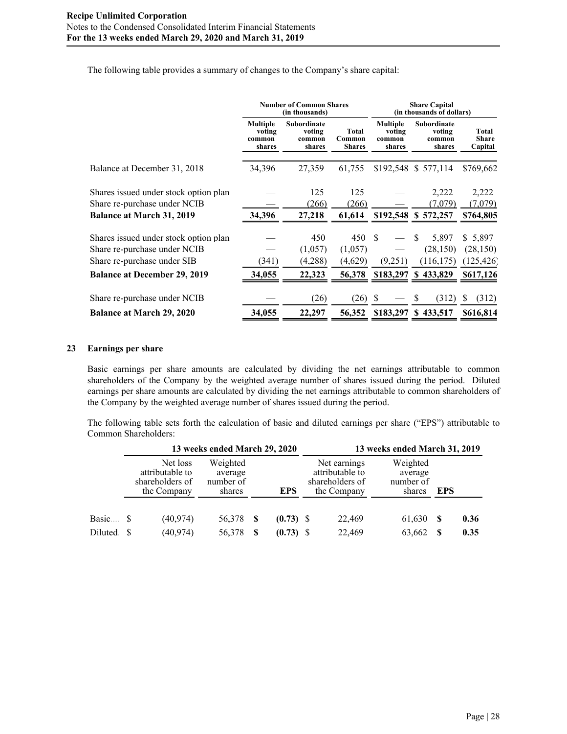The following table provides a summary of changes to the Company's share capital:

|                                                                                                      |                                               | <b>Number of Common Shares</b><br>(in thousands) |                                         | <b>Share Capital</b><br>(in thousands of dollars) |                                           |                                    |  |  |
|------------------------------------------------------------------------------------------------------|-----------------------------------------------|--------------------------------------------------|-----------------------------------------|---------------------------------------------------|-------------------------------------------|------------------------------------|--|--|
|                                                                                                      | <b>Multiple</b><br>voting<br>common<br>shares | <b>Subordinate</b><br>voting<br>common<br>shares | <b>Total</b><br>Common<br><b>Shares</b> | <b>Multiple</b><br>voting<br>common<br>shares     | Subordinate<br>voting<br>common<br>shares | Total<br><b>Share</b><br>Capital   |  |  |
| Balance at December 31, 2018                                                                         | 34,396                                        | 27,359                                           | 61,755                                  |                                                   | \$192,548 \$ 577,114                      | \$769,662                          |  |  |
| Shares issued under stock option plan<br>Share re-purchase under NCIB                                |                                               | 125<br>(266)                                     | 125<br>(266)                            |                                                   | 2,222<br>(7.079)                          | 2,222<br>(7,079)                   |  |  |
| <b>Balance at March 31, 2019</b>                                                                     | 34,396                                        | 27,218                                           | 61,614                                  |                                                   | \$192,548 \$ 572,257                      | \$764,805                          |  |  |
| Shares issued under stock option plan<br>Share re-purchase under NCIB<br>Share re-purchase under SIB | (341)                                         | 450<br>(1,057)<br>(4,288)                        | 450<br>(1,057)<br>(4,629)               | -\$<br>(9,251)                                    | 5,897<br>(28, 150)<br>(116, 175)          | \$5,897<br>(28, 150)<br>(125, 426) |  |  |
| <b>Balance at December 29, 2019</b>                                                                  | 34,055                                        | 22,323                                           | 56,378                                  |                                                   | \$183,297 \$433,829                       | \$617,126                          |  |  |
| Share re-purchase under NCIB<br><b>Balance at March 29, 2020</b>                                     | 34,055                                        | (26)<br>22,297                                   | (26)<br>56,352                          | -S<br>\$183,297                                   | (312)<br><sup>S</sup><br>\$433,517        | (312)<br><sup>8</sup><br>\$616,814 |  |  |

## **23 Earnings per share**

Basic earnings per share amounts are calculated by dividing the net earnings attributable to common shareholders of the Company by the weighted average number of shares issued during the period. Diluted earnings per share amounts are calculated by dividing the net earnings attributable to common shareholders of the Company by the weighted average number of shares issued during the period.

The following table sets forth the calculation of basic and diluted earnings per share ("EPS") attributable to Common Shareholders:

|          |                                                               | 13 weeks ended March 29, 2020              |      |             | 13 weeks ended March 31, 2019 |                                                                   |                                            |            |      |  |  |  |
|----------|---------------------------------------------------------------|--------------------------------------------|------|-------------|-------------------------------|-------------------------------------------------------------------|--------------------------------------------|------------|------|--|--|--|
|          | Net loss<br>attributable to<br>shareholders of<br>the Company | Weighted<br>average<br>number of<br>shares |      | <b>EPS</b>  |                               | Net earnings<br>attributable to<br>shareholders of<br>the Company | Weighted<br>average<br>number of<br>shares | <b>EPS</b> |      |  |  |  |
| Basic \$ | (40, 974)                                                     | 56,378                                     | - \$ | $(0.73)$ \$ |                               | 22,469                                                            | 61,630                                     | S          | 0.36 |  |  |  |
| Diluted. | (40, 974)                                                     | 56,378                                     |      | $(0.73)$ \$ |                               | 22,469                                                            | 63,662                                     |            | 0.35 |  |  |  |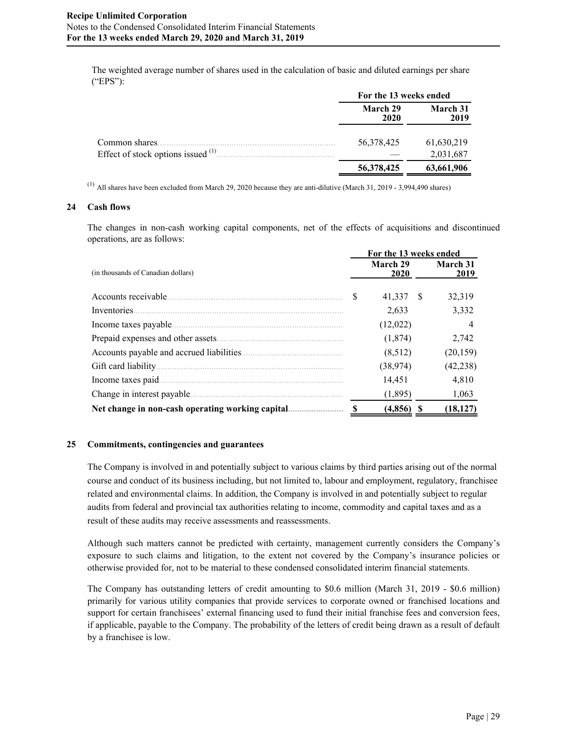The weighted average number of shares used in the calculation of basic and diluted earnings per share ("EPS"):

|                                        | For the 13 weeks ended |                  |  |  |
|----------------------------------------|------------------------|------------------|--|--|
|                                        | March 29<br>2020       | March 31<br>2019 |  |  |
| Common shares.                         | 56,378,425             | 61,630,219       |  |  |
| Effect of stock options issued $(1)$ . |                        | 2,031,687        |  |  |
|                                        | 56,378,425             | 63,661,906       |  |  |

 $^{(1)}$  All shares have been excluded from March 29, 2020 because they are anti-dilutive (March 31, 2019 - 3,994,490 shares)

#### **24 Cash flows**

The changes in non-cash working capital components, net of the effects of acquisitions and discontinued operations, are as follows:

|                                           |   | For the 13 weeks ended |    |                         |
|-------------------------------------------|---|------------------------|----|-------------------------|
| (in thousands of Canadian dollars)        |   | March 29<br>2020       |    | <b>March 31</b><br>2019 |
| Accounts receivable.                      | S | 41,337                 | -S | 32,319                  |
| Inventories.                              |   | 2,633                  |    | 3,332                   |
| Income taxes payable.                     |   | (12,022)               |    | $\overline{4}$          |
| Prepaid expenses and other assets.        |   | (1, 874)               |    | 2,742                   |
| Accounts payable and accrued liabilities. |   | (8,512)                |    | (20, 159)               |
| Gift card liability.                      |   | (38, 974)              |    | (42, 238)               |
| Income taxes paid.                        |   | 14,451                 |    | 4,810                   |
| Change in interest payable.               |   | (1,895)                |    | 1,063                   |
|                                           | S | (4, 856)               | S  | (18, 127)               |

#### **25 Commitments, contingencies and guarantees**

The Company is involved in and potentially subject to various claims by third parties arising out of the normal course and conduct of its business including, but not limited to, labour and employment, regulatory, franchisee related and environmental claims. In addition, the Company is involved in and potentially subject to regular audits from federal and provincial tax authorities relating to income, commodity and capital taxes and as a result of these audits may receive assessments and reassessments.

Although such matters cannot be predicted with certainty, management currently considers the Company's exposure to such claims and litigation, to the extent not covered by the Company's insurance policies or otherwise provided for, not to be material to these condensed consolidated interim financial statements.

The Company has outstanding letters of credit amounting to \$0.6 million (March 31, 2019 - \$0.6 million) primarily for various utility companies that provide services to corporate owned or franchised locations and support for certain franchisees' external financing used to fund their initial franchise fees and conversion fees, if applicable, payable to the Company. The probability of the letters of credit being drawn as a result of default by a franchisee is low.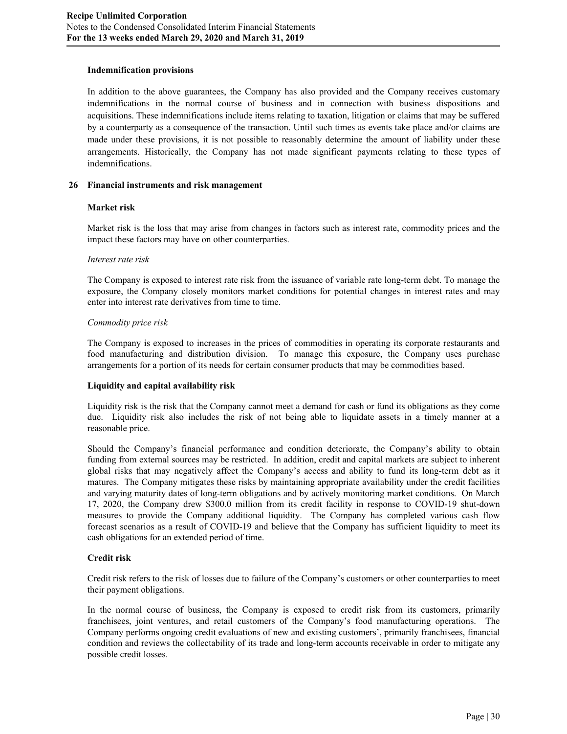## **Indemnification provisions**

In addition to the above guarantees, the Company has also provided and the Company receives customary indemnifications in the normal course of business and in connection with business dispositions and acquisitions. These indemnifications include items relating to taxation, litigation or claims that may be suffered by a counterparty as a consequence of the transaction. Until such times as events take place and/or claims are made under these provisions, it is not possible to reasonably determine the amount of liability under these arrangements. Historically, the Company has not made significant payments relating to these types of indemnifications.

### **26 Financial instruments and risk management**

## **Market risk**

Market risk is the loss that may arise from changes in factors such as interest rate, commodity prices and the impact these factors may have on other counterparties.

#### *Interest rate risk*

The Company is exposed to interest rate risk from the issuance of variable rate long-term debt. To manage the exposure, the Company closely monitors market conditions for potential changes in interest rates and may enter into interest rate derivatives from time to time.

## *Commodity price risk*

The Company is exposed to increases in the prices of commodities in operating its corporate restaurants and food manufacturing and distribution division. To manage this exposure, the Company uses purchase arrangements for a portion of its needs for certain consumer products that may be commodities based.

## **Liquidity and capital availability risk**

Liquidity risk is the risk that the Company cannot meet a demand for cash or fund its obligations as they come due. Liquidity risk also includes the risk of not being able to liquidate assets in a timely manner at a reasonable price.

Should the Company's financial performance and condition deteriorate, the Company's ability to obtain funding from external sources may be restricted. In addition, credit and capital markets are subject to inherent global risks that may negatively affect the Company's access and ability to fund its long-term debt as it matures. The Company mitigates these risks by maintaining appropriate availability under the credit facilities and varying maturity dates of long-term obligations and by actively monitoring market conditions. On March 17, 2020, the Company drew \$300.0 million from its credit facility in response to COVID-19 shut-down measures to provide the Company additional liquidity. The Company has completed various cash flow forecast scenarios as a result of COVID-19 and believe that the Company has sufficient liquidity to meet its cash obligations for an extended period of time.

## **Credit risk**

Credit risk refers to the risk of losses due to failure of the Company's customers or other counterparties to meet their payment obligations.

In the normal course of business, the Company is exposed to credit risk from its customers, primarily franchisees, joint ventures, and retail customers of the Company's food manufacturing operations. The Company performs ongoing credit evaluations of new and existing customers', primarily franchisees, financial condition and reviews the collectability of its trade and long-term accounts receivable in order to mitigate any possible credit losses.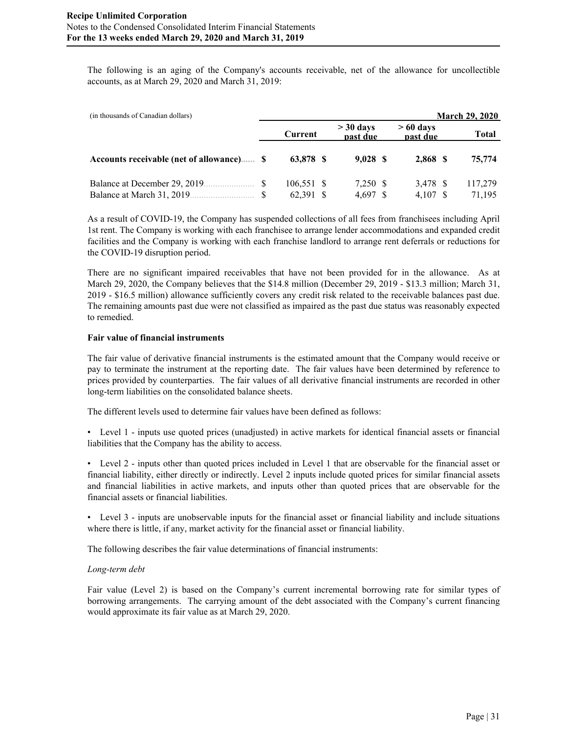The following is an aging of the Company's accounts receivable, net of the allowance for uncollectible accounts, as at March 29, 2020 and March 31, 2019:

| (in thousands of Canadian dollars)       |            |                         |                        | <b>March 29, 2020</b> |
|------------------------------------------|------------|-------------------------|------------------------|-----------------------|
|                                          | Current    | $>$ 30 days<br>past due | $>60$ days<br>past due | Total                 |
| Accounts receivable (net of allowance) S | 63,878 \$  | 9.028 S                 | 2,868 \$               | 75,774                |
| Balance at December 29, 2019.            | 106.551 \$ | 7.250 \$                | 3.478 \$               | 117.279               |
| Balance at March 31, 2019.               | 62.391 \$  | 4,697                   | 4.107                  | 71.195                |

As a result of COVID-19, the Company has suspended collections of all fees from franchisees including April 1st rent. The Company is working with each franchisee to arrange lender accommodations and expanded credit facilities and the Company is working with each franchise landlord to arrange rent deferrals or reductions for the COVID-19 disruption period.

There are no significant impaired receivables that have not been provided for in the allowance. As at March 29, 2020, the Company believes that the \$14.8 million (December 29, 2019 - \$13.3 million; March 31, 2019 - \$16.5 million) allowance sufficiently covers any credit risk related to the receivable balances past due. The remaining amounts past due were not classified as impaired as the past due status was reasonably expected to remedied.

## **Fair value of financial instruments**

The fair value of derivative financial instruments is the estimated amount that the Company would receive or pay to terminate the instrument at the reporting date. The fair values have been determined by reference to prices provided by counterparties. The fair values of all derivative financial instruments are recorded in other long-term liabilities on the consolidated balance sheets.

The different levels used to determine fair values have been defined as follows:

• Level 1 - inputs use quoted prices (unadjusted) in active markets for identical financial assets or financial liabilities that the Company has the ability to access.

• Level 2 - inputs other than quoted prices included in Level 1 that are observable for the financial asset or financial liability, either directly or indirectly. Level 2 inputs include quoted prices for similar financial assets and financial liabilities in active markets, and inputs other than quoted prices that are observable for the financial assets or financial liabilities.

• Level 3 - inputs are unobservable inputs for the financial asset or financial liability and include situations where there is little, if any, market activity for the financial asset or financial liability.

The following describes the fair value determinations of financial instruments:

#### *Long-term debt*

Fair value (Level 2) is based on the Company's current incremental borrowing rate for similar types of borrowing arrangements. The carrying amount of the debt associated with the Company's current financing would approximate its fair value as at March 29, 2020.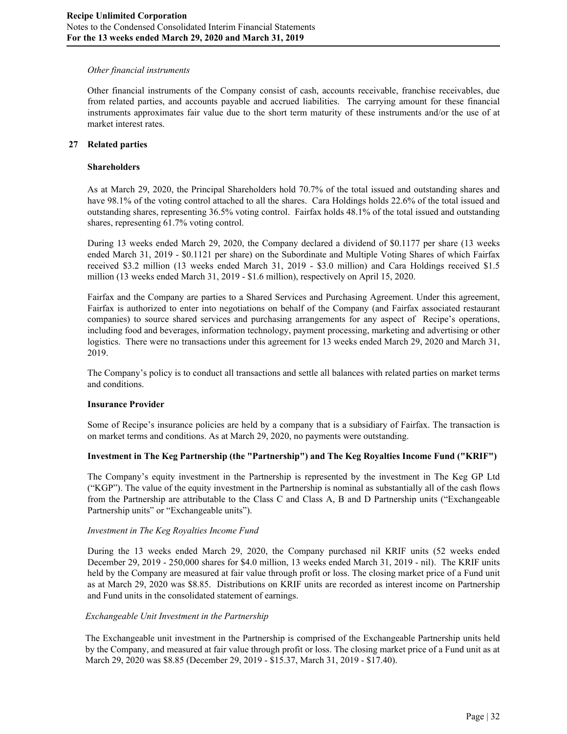## *Other financial instruments*

Other financial instruments of the Company consist of cash, accounts receivable, franchise receivables, due from related parties, and accounts payable and accrued liabilities. The carrying amount for these financial instruments approximates fair value due to the short term maturity of these instruments and/or the use of at market interest rates.

## **27 Related parties**

### **Shareholders**

As at March 29, 2020, the Principal Shareholders hold 70.7% of the total issued and outstanding shares and have 98.1% of the voting control attached to all the shares. Cara Holdings holds 22.6% of the total issued and outstanding shares, representing 36.5% voting control. Fairfax holds 48.1% of the total issued and outstanding shares, representing 61.7% voting control.

During 13 weeks ended March 29, 2020, the Company declared a dividend of \$0.1177 per share (13 weeks ended March 31, 2019 - \$0.1121 per share) on the Subordinate and Multiple Voting Shares of which Fairfax received \$3.2 million (13 weeks ended March 31, 2019 - \$3.0 million) and Cara Holdings received \$1.5 million (13 weeks ended March 31, 2019 - \$1.6 million), respectively on April 15, 2020.

Fairfax and the Company are parties to a Shared Services and Purchasing Agreement. Under this agreement, Fairfax is authorized to enter into negotiations on behalf of the Company (and Fairfax associated restaurant companies) to source shared services and purchasing arrangements for any aspect of Recipe's operations, including food and beverages, information technology, payment processing, marketing and advertising or other logistics. There were no transactions under this agreement for 13 weeks ended March 29, 2020 and March 31, 2019.

The Company's policy is to conduct all transactions and settle all balances with related parties on market terms and conditions.

#### **Insurance Provider**

Some of Recipe's insurance policies are held by a company that is a subsidiary of Fairfax. The transaction is on market terms and conditions. As at March 29, 2020, no payments were outstanding.

## **Investment in The Keg Partnership (the "Partnership") and The Keg Royalties Income Fund ("KRIF")**

The Company's equity investment in the Partnership is represented by the investment in The Keg GP Ltd ("KGP"). The value of the equity investment in the Partnership is nominal as substantially all of the cash flows from the Partnership are attributable to the Class C and Class A, B and D Partnership units ("Exchangeable Partnership units" or "Exchangeable units").

#### *Investment in The Keg Royalties Income Fund*

During the 13 weeks ended March 29, 2020, the Company purchased nil KRIF units (52 weeks ended December 29, 2019 - 250,000 shares for \$4.0 million, 13 weeks ended March 31, 2019 - nil). The KRIF units held by the Company are measured at fair value through profit or loss. The closing market price of a Fund unit as at March 29, 2020 was \$8.85. Distributions on KRIF units are recorded as interest income on Partnership and Fund units in the consolidated statement of earnings.

#### *Exchangeable Unit Investment in the Partnership*

The Exchangeable unit investment in the Partnership is comprised of the Exchangeable Partnership units held by the Company, and measured at fair value through profit or loss. The closing market price of a Fund unit as at March 29, 2020 was \$8.85 (December 29, 2019 - \$15.37, March 31, 2019 - \$17.40).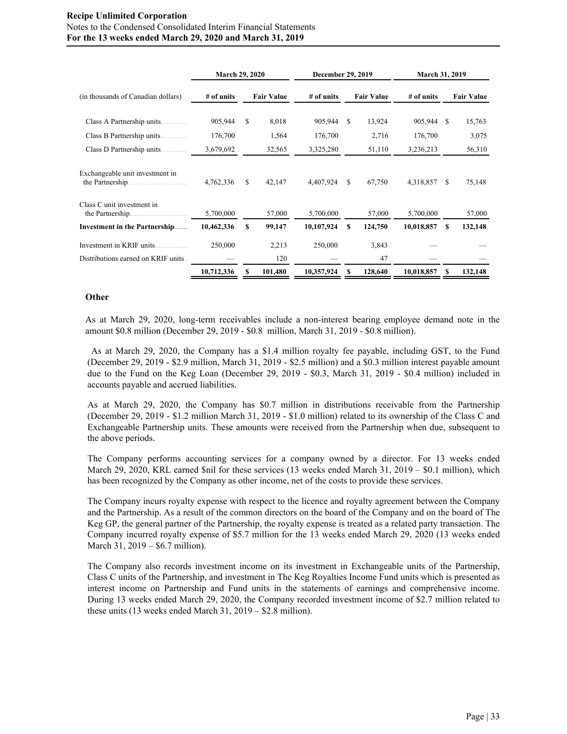|                                                    | March 29, 2020 |                   |         | December 29, 2019 |                   | March 31, 2019 |              |    |                   |  |
|----------------------------------------------------|----------------|-------------------|---------|-------------------|-------------------|----------------|--------------|----|-------------------|--|
| (in thousands of Canadian dollars)                 | # of units     | <b>Fair Value</b> |         | $#$ of units      | <b>Fair Value</b> |                | $#$ of units |    | <b>Fair Value</b> |  |
| Class A Partnership units                          | 905,944        | S                 | 8,018   | 905,944           | S                 | 13,924         | 905,944      | -S | 15,763            |  |
| Class B Partnership units                          | 176,700        |                   | 1,564   | 176,700           |                   | 2,716          | 176,700      |    | 3,075             |  |
| Class D Partnership units<br>.                     | 3,679,692      |                   | 32,565  | 3,325,280         |                   | 51,110         | 3,236,213    |    | 56,310            |  |
| Exchangeable unit investment in<br>the Partnership | 4,762,336      | \$.               | 42,147  | 4,407,924         | S.                | 67,750         | 4,318,857    | S  | 75,148            |  |
| Class C unit investment in<br>the Partnership.     | 5,700,000      |                   | 57,000  | 5,700,000         |                   | 57,000         | 5,700,000    |    | 57,000            |  |
| Investment in the Partnership                      | 10,462,336     | S                 | 99,147  | 10,107,924        | \$                | 124,750        | 10,018,857   | \$ | 132,148           |  |
| Investment in KRIF units                           | 250,000        |                   | 2,213   | 250,000           |                   | 3,843          |              |    |                   |  |
| Distributions earned on KRIF units                 |                |                   | 120     |                   |                   | 47             |              |    |                   |  |
|                                                    | 10,712,336     |                   | 101,480 | 10,357,924        |                   | 128,640        | 10,018,857   | S  | 132,148           |  |

### **Other**

As at March 29, 2020, long-term receivables include a non-interest bearing employee demand note in the amount \$0.8 million (December 29, 2019 - \$0.8 million, March 31, 2019 - \$0.8 million).

As at March 29, 2020, the Company has a \$1.4 million royalty fee payable, including GST, to the Fund (December 29, 2019 - \$2.9 million, March 31, 2019 - \$2.5 million) and a \$0.3 million interest payable amount due to the Fund on the Keg Loan (December 29, 2019 - \$0.3, March 31, 2019 - \$0.4 million) included in accounts payable and accrued liabilities.

As at March 29, 2020, the Company has \$0.7 million in distributions receivable from the Partnership (December 29, 2019 - \$1.2 million March 31, 2019 - \$1.0 million) related to its ownership of the Class C and Exchangeable Partnership units. These amounts were received from the Partnership when due, subsequent to the above periods.

The Company performs accounting services for a company owned by a director. For 13 weeks ended March 29, 2020, KRL earned \$nil for these services (13 weeks ended March 31, 2019 – \$0.1 million), which has been recognized by the Company as other income, net of the costs to provide these services.

The Company incurs royalty expense with respect to the licence and royalty agreement between the Company and the Partnership. As a result of the common directors on the board of the Company and on the board of The Keg GP, the general partner of the Partnership, the royalty expense is treated as a related party transaction. The Company incurred royalty expense of \$5.7 million for the 13 weeks ended March 29, 2020 (13 weeks ended March 31, 2019 – \$6.7 million).

The Company also records investment income on its investment in Exchangeable units of the Partnership, Class C units of the Partnership, and investment in The Keg Royalties Income Fund units which is presented as interest income on Partnership and Fund units in the statements of earnings and comprehensive income. During 13 weeks ended March 29, 2020, the Company recorded investment income of \$2.7 million related to these units (13 weeks ended March 31, 2019 – \$2.8 million).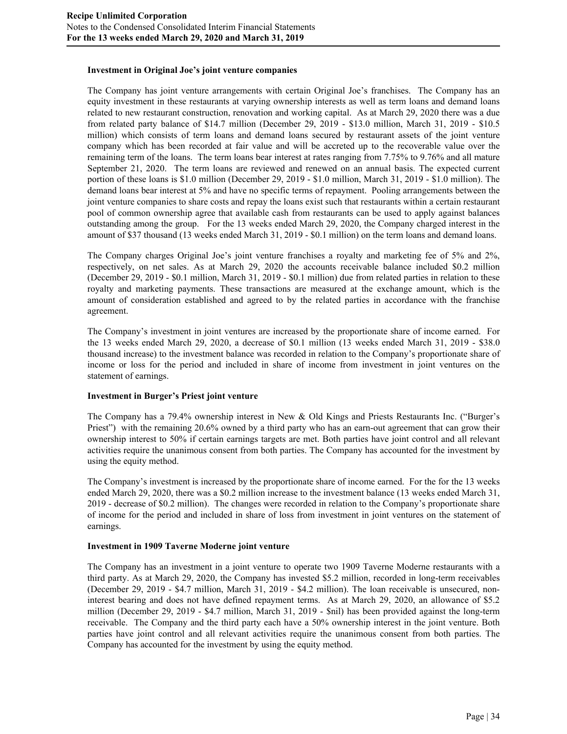### **Investment in Original Joe's joint venture companies**

The Company has joint venture arrangements with certain Original Joe's franchises. The Company has an equity investment in these restaurants at varying ownership interests as well as term loans and demand loans related to new restaurant construction, renovation and working capital. As at March 29, 2020 there was a due from related party balance of \$14.7 million (December 29, 2019 - \$13.0 million, March 31, 2019 - \$10.5 million) which consists of term loans and demand loans secured by restaurant assets of the joint venture company which has been recorded at fair value and will be accreted up to the recoverable value over the remaining term of the loans. The term loans bear interest at rates ranging from 7.75% to 9.76% and all mature September 21, 2020. The term loans are reviewed and renewed on an annual basis. The expected current portion of these loans is \$1.0 million (December 29, 2019 - \$1.0 million, March 31, 2019 - \$1.0 million). The demand loans bear interest at 5% and have no specific terms of repayment. Pooling arrangements between the joint venture companies to share costs and repay the loans exist such that restaurants within a certain restaurant pool of common ownership agree that available cash from restaurants can be used to apply against balances outstanding among the group. For the 13 weeks ended March 29, 2020, the Company charged interest in the amount of \$37 thousand (13 weeks ended March 31, 2019 - \$0.1 million) on the term loans and demand loans.

The Company charges Original Joe's joint venture franchises a royalty and marketing fee of 5% and 2%, respectively, on net sales. As at March 29, 2020 the accounts receivable balance included \$0.2 million (December 29, 2019 - \$0.1 million, March 31, 2019 - \$0.1 million) due from related parties in relation to these royalty and marketing payments. These transactions are measured at the exchange amount, which is the amount of consideration established and agreed to by the related parties in accordance with the franchise agreement.

The Company's investment in joint ventures are increased by the proportionate share of income earned. For the 13 weeks ended March 29, 2020, a decrease of \$0.1 million (13 weeks ended March 31, 2019 - \$38.0 thousand increase) to the investment balance was recorded in relation to the Company's proportionate share of income or loss for the period and included in share of income from investment in joint ventures on the statement of earnings.

#### **Investment in Burger's Priest joint venture**

The Company has a 79.4% ownership interest in New & Old Kings and Priests Restaurants Inc. ("Burger's Priest") with the remaining 20.6% owned by a third party who has an earn-out agreement that can grow their ownership interest to 50% if certain earnings targets are met. Both parties have joint control and all relevant activities require the unanimous consent from both parties. The Company has accounted for the investment by using the equity method.

The Company's investment is increased by the proportionate share of income earned. For the for the 13 weeks ended March 29, 2020, there was a \$0.2 million increase to the investment balance (13 weeks ended March 31, 2019 - decrease of \$0.2 million). The changes were recorded in relation to the Company's proportionate share of income for the period and included in share of loss from investment in joint ventures on the statement of earnings.

## **Investment in 1909 Taverne Moderne joint venture**

The Company has an investment in a joint venture to operate two 1909 Taverne Moderne restaurants with a third party. As at March 29, 2020, the Company has invested \$5.2 million, recorded in long-term receivables (December 29, 2019 - \$4.7 million, March 31, 2019 - \$4.2 million). The loan receivable is unsecured, noninterest bearing and does not have defined repayment terms. As at March 29, 2020, an allowance of \$5.2 million (December 29, 2019 - \$4.7 million, March 31, 2019 - \$nil) has been provided against the long-term receivable. The Company and the third party each have a 50% ownership interest in the joint venture. Both parties have joint control and all relevant activities require the unanimous consent from both parties. The Company has accounted for the investment by using the equity method.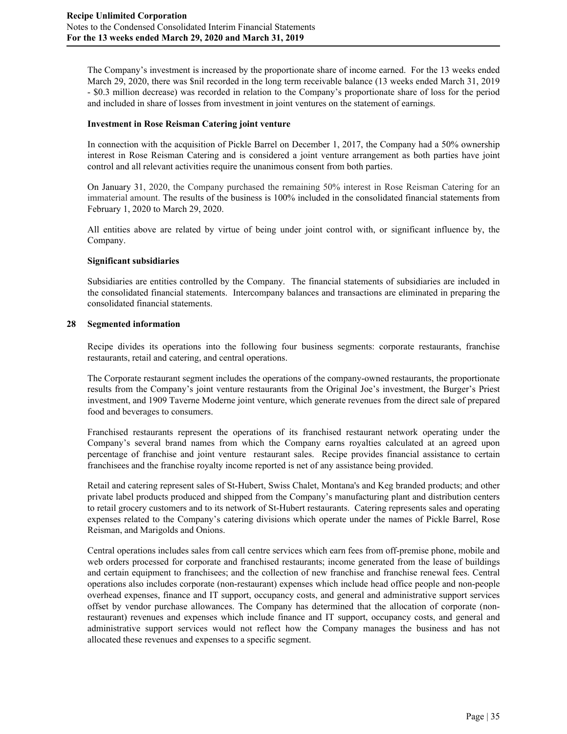The Company's investment is increased by the proportionate share of income earned. For the 13 weeks ended March 29, 2020, there was \$nil recorded in the long term receivable balance (13 weeks ended March 31, 2019 - \$0.3 million decrease) was recorded in relation to the Company's proportionate share of loss for the period and included in share of losses from investment in joint ventures on the statement of earnings.

## **Investment in Rose Reisman Catering joint venture**

In connection with the acquisition of Pickle Barrel on December 1, 2017, the Company had a 50% ownership interest in Rose Reisman Catering and is considered a joint venture arrangement as both parties have joint control and all relevant activities require the unanimous consent from both parties.

On January 31, 2020, the Company purchased the remaining 50% interest in Rose Reisman Catering for an immaterial amount. The results of the business is 100% included in the consolidated financial statements from February 1, 2020 to March 29, 2020.

All entities above are related by virtue of being under joint control with, or significant influence by, the Company.

## **Significant subsidiaries**

Subsidiaries are entities controlled by the Company. The financial statements of subsidiaries are included in the consolidated financial statements. Intercompany balances and transactions are eliminated in preparing the consolidated financial statements.

## **28 Segmented information**

Recipe divides its operations into the following four business segments: corporate restaurants, franchise restaurants, retail and catering, and central operations.

The Corporate restaurant segment includes the operations of the company-owned restaurants, the proportionate results from the Company's joint venture restaurants from the Original Joe's investment, the Burger's Priest investment, and 1909 Taverne Moderne joint venture, which generate revenues from the direct sale of prepared food and beverages to consumers.

Franchised restaurants represent the operations of its franchised restaurant network operating under the Company's several brand names from which the Company earns royalties calculated at an agreed upon percentage of franchise and joint venture restaurant sales. Recipe provides financial assistance to certain franchisees and the franchise royalty income reported is net of any assistance being provided.

Retail and catering represent sales of St-Hubert, Swiss Chalet, Montana's and Keg branded products; and other private label products produced and shipped from the Company's manufacturing plant and distribution centers to retail grocery customers and to its network of St-Hubert restaurants. Catering represents sales and operating expenses related to the Company's catering divisions which operate under the names of Pickle Barrel, Rose Reisman, and Marigolds and Onions.

Central operations includes sales from call centre services which earn fees from off-premise phone, mobile and web orders processed for corporate and franchised restaurants; income generated from the lease of buildings and certain equipment to franchisees; and the collection of new franchise and franchise renewal fees. Central operations also includes corporate (non-restaurant) expenses which include head office people and non-people overhead expenses, finance and IT support, occupancy costs, and general and administrative support services offset by vendor purchase allowances. The Company has determined that the allocation of corporate (nonrestaurant) revenues and expenses which include finance and IT support, occupancy costs, and general and administrative support services would not reflect how the Company manages the business and has not allocated these revenues and expenses to a specific segment.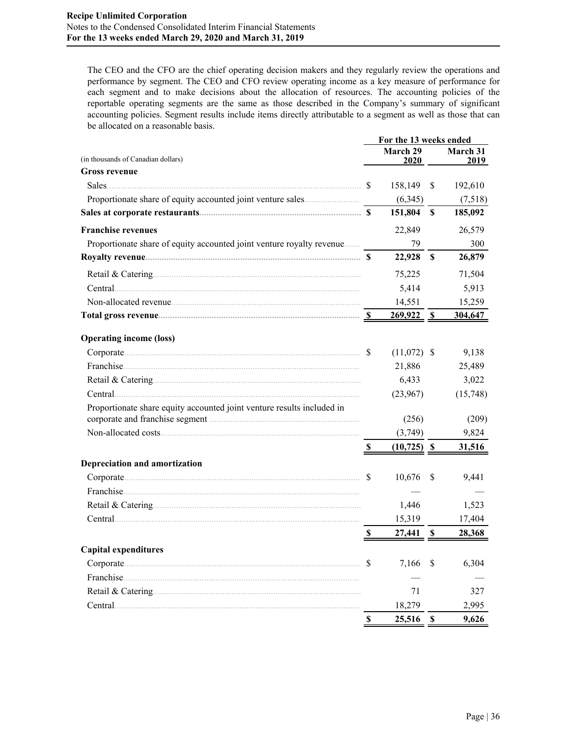The CEO and the CFO are the chief operating decision makers and they regularly review the operations and performance by segment. The CEO and CFO review operating income as a key measure of performance for each segment and to make decisions about the allocation of resources. The accounting policies of the reportable operating segments are the same as those described in the Company's summary of significant accounting policies. Segment results include items directly attributable to a segment as well as those that can be allocated on a reasonable basis.

|                                                                        |                           | For the 13 weeks ended |    |          |
|------------------------------------------------------------------------|---------------------------|------------------------|----|----------|
| (in thousands of Canadian dollars)                                     |                           | March 29               |    | March 31 |
| <b>Gross revenue</b>                                                   |                           | 2020                   |    | 2019     |
|                                                                        | <sup>S</sup>              | 158,149                | \$ | 192,610  |
|                                                                        |                           | (6,345)                |    | (7,518)  |
|                                                                        |                           | 151,804 \$             |    | 185,092  |
| <b>Franchise revenues</b>                                              |                           | 22,849                 |    | 26,579   |
| Proportionate share of equity accounted joint venture royalty revenue  |                           | 79                     |    | 300      |
|                                                                        |                           | 22,928 \$              |    | 26,879   |
|                                                                        |                           | 75,225                 |    | 71,504   |
| Central.                                                               |                           | 5,414                  |    | 5,913    |
|                                                                        |                           | 14,551                 |    | 15,259   |
|                                                                        |                           | $269,922$ \$           |    | 304,647  |
| <b>Operating income (loss)</b>                                         |                           |                        |    |          |
|                                                                        |                           | $(11,072)$ \$          |    | 9,138    |
|                                                                        |                           | 21,886                 |    | 25,489   |
|                                                                        |                           | 6,433                  |    | 3,022    |
|                                                                        |                           | (23,967)               |    | (15,748) |
| Proportionate share equity accounted joint venture results included in |                           |                        |    |          |
|                                                                        |                           | (256)                  |    | (209)    |
|                                                                        |                           | (3,749)                |    | 9,824    |
|                                                                        | $\boldsymbol{\mathsf{S}}$ | $(10,725)$ \$          |    | 31,516   |
| Depreciation and amortization                                          |                           |                        |    |          |
|                                                                        | <sup>\$</sup>             | $10,676$ \$            |    | 9,441    |
|                                                                        |                           |                        |    |          |
|                                                                        |                           | 1,446                  |    | 1,523    |
|                                                                        |                           | 15,319                 |    | 17,404   |
|                                                                        | S                         | 27,441 \$              |    | 28,368   |
| <b>Capital expenditures</b>                                            |                           |                        |    |          |
| Corporate                                                              | S                         | 7,166                  | \$ | 6,304    |
| Franchise.                                                             |                           |                        |    |          |
|                                                                        |                           | 71                     |    | 327      |
| Central.                                                               |                           | 18,279                 |    | 2,995    |
|                                                                        | S                         | 25,516                 | \$ | 9,626    |